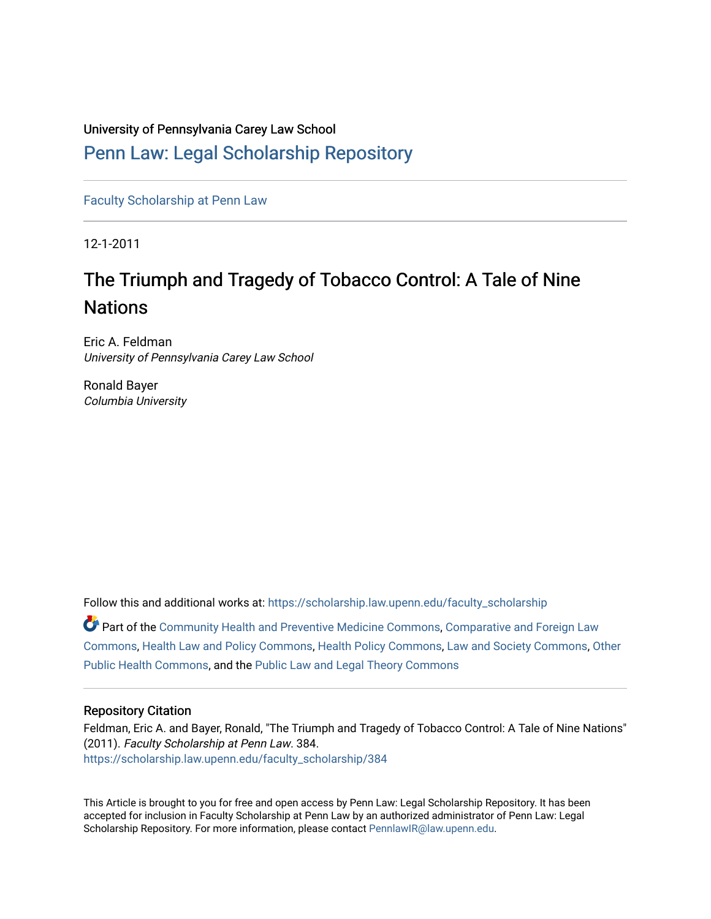## University of Pennsylvania Carey Law School

## [Penn Law: Legal Scholarship Repository](https://scholarship.law.upenn.edu/)

[Faculty Scholarship at Penn Law](https://scholarship.law.upenn.edu/faculty_scholarship)

12-1-2011

# The Triumph and Tragedy of Tobacco Control: A Tale of Nine **Nations**

Eric A. Feldman University of Pennsylvania Carey Law School

Ronald Bayer Columbia University

Follow this and additional works at: [https://scholarship.law.upenn.edu/faculty\\_scholarship](https://scholarship.law.upenn.edu/faculty_scholarship?utm_source=scholarship.law.upenn.edu%2Ffaculty_scholarship%2F384&utm_medium=PDF&utm_campaign=PDFCoverPages) 

| $\bullet$ Part of the Community Health and Preventive Medicine Commons, Comparative and Foreign Law |
|-----------------------------------------------------------------------------------------------------|
| Commons, Health Law and Policy Commons, Health Policy Commons, Law and Society Commons, Other       |
| Public Health Commons, and the Public Law and Legal Theory Commons                                  |

## Repository Citation

Feldman, Eric A. and Bayer, Ronald, "The Triumph and Tragedy of Tobacco Control: A Tale of Nine Nations" (2011). Faculty Scholarship at Penn Law. 384. [https://scholarship.law.upenn.edu/faculty\\_scholarship/384](https://scholarship.law.upenn.edu/faculty_scholarship/384?utm_source=scholarship.law.upenn.edu%2Ffaculty_scholarship%2F384&utm_medium=PDF&utm_campaign=PDFCoverPages) 

This Article is brought to you for free and open access by Penn Law: Legal Scholarship Repository. It has been accepted for inclusion in Faculty Scholarship at Penn Law by an authorized administrator of Penn Law: Legal Scholarship Repository. For more information, please contact [PennlawIR@law.upenn.edu.](mailto:PennlawIR@law.upenn.edu)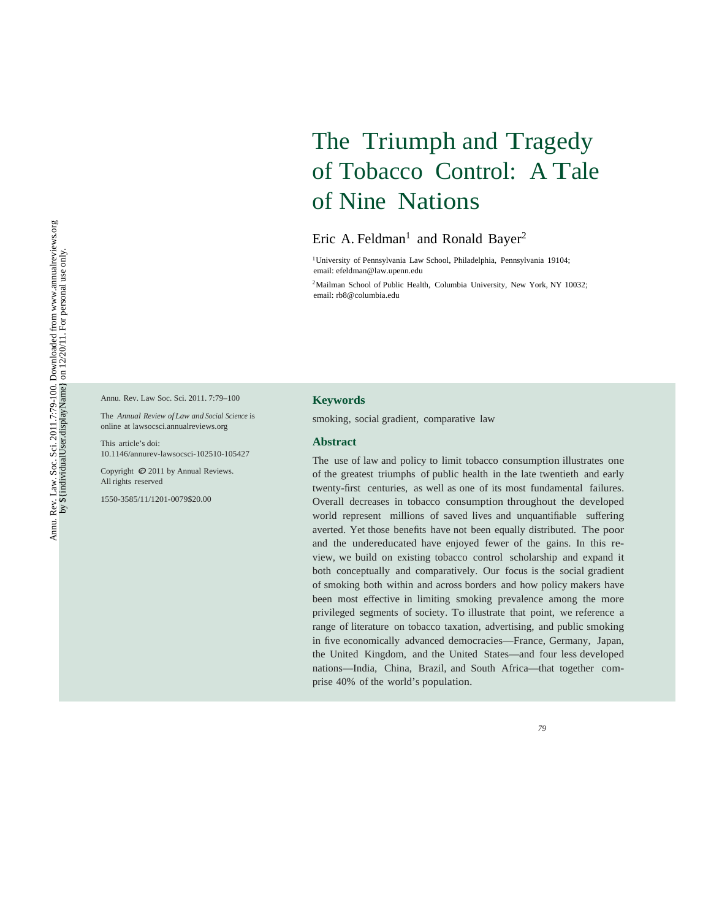# The Triumph and Tragedy of Tobacco Control: A Tale of Nine Nations

## Eric A. Feldman<sup>1</sup> and Ronald Bayer<sup>2</sup>

1University of Pennsylvania Law School, Philadelphia, Pennsylvania 19104; email: efeldman@law.upenn.edu

<sup>2</sup>Mailman School of Public Health, Columbia University, New York, NY 10032; email: rb8@columbia.edu

Annu. Rev. Law Soc. Sci. 2011. 7:79–100

The *Annual Review of Law and Social Science* is online at lawsocsci.annualreviews.org

This article's doi: 10.1146/annurev-lawsocsci-102510-105427

Copyright  $\odot$  2011 by Annual Reviews. All rights reserved

1550-3585/11/1201-0079\$20.00

#### **Keywords**

smoking, social gradient, comparative law

#### **Abstract**

The use of law and policy to limit tobacco consumption illustrates one of the greatest triumphs of public health in the late twentieth and early twenty-first centuries, as well as one of its most fundamental failures. Overall decreases in tobacco consumption throughout the developed world represent millions of saved lives and unquantifiable suffering averted. Yet those benefits have not been equally distributed. The poor and the undereducated have enjoyed fewer of the gains. In this review, we build on existing tobacco control scholarship and expand it both conceptually and comparatively. Our focus is the social gradient of smoking both within and across borders and how policy makers have been most effective in limiting smoking prevalence among the more privileged segments of society. To illustrate that point, we reference a range of literature on tobacco taxation, advertising, and public smoking in five economically advanced democracies—France, Germany, Japan, the United Kingdom, and the United States—and four less developed nations—India, China, Brazil, and South Africa—that together comprise 40% of the world's population.

*79*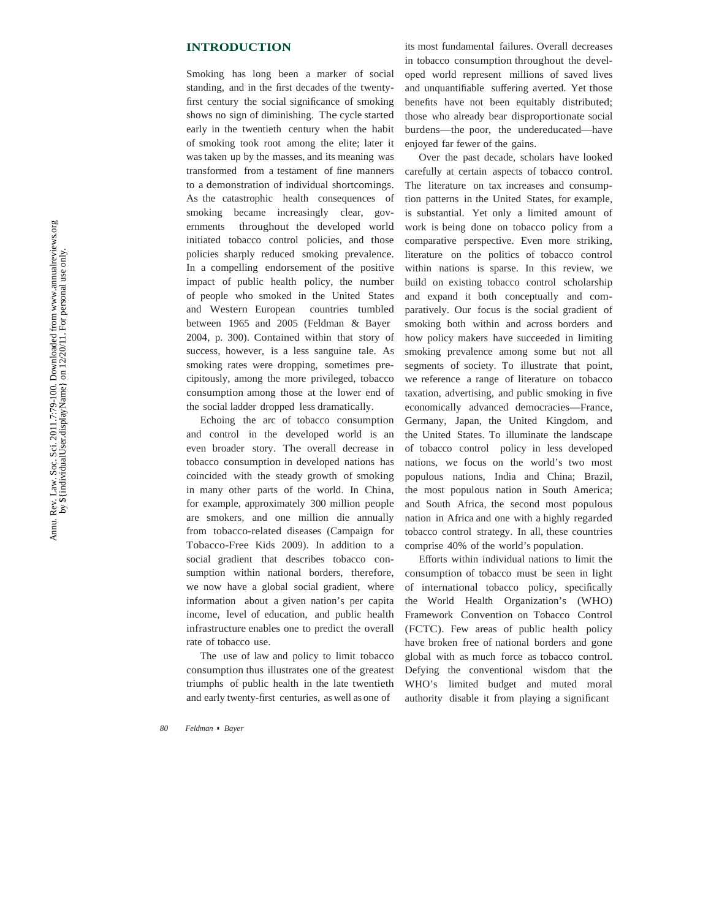#### **INTRODUCTION**

Smoking has long been a marker of social standing, and in the first decades of the twentyfirst century the social significance of smoking shows no sign of diminishing. The cycle started early in the twentieth century when the habit of smoking took root among the elite; later it was taken up by the masses, and its meaning was transformed from a testament of fine manners to a demonstration of individual shortcomings. As the catastrophic health consequences of smoking became increasingly clear, governments throughout the developed world initiated tobacco control policies, and those policies sharply reduced smoking prevalence. In a compelling endorsement of the positive impact of public health policy, the number of people who smoked in the United States and Western European countries tumbled between 1965 and 2005 (Feldman & Bayer 2004, p. 300). Contained within that story of success, however, is a less sanguine tale. As smoking rates were dropping, sometimes precipitously, among the more privileged, tobacco consumption among those at the lower end of the social ladder dropped less dramatically.

Echoing the arc of tobacco consumption and control in the developed world is an even broader story. The overall decrease in tobacco consumption in developed nations has coincided with the steady growth of smoking in many other parts of the world. In China, for example, approximately 300 million people are smokers, and one million die annually from tobacco-related diseases (Campaign for Tobacco-Free Kids 2009). In addition to a social gradient that describes tobacco consumption within national borders, therefore, we now have a global social gradient, where information about a given nation's per capita income, level of education, and public health infrastructure enables one to predict the overall rate of tobacco use.

The use of law and policy to limit tobacco consumption thus illustrates one of the greatest triumphs of public health in the late twentieth and early twenty-first centuries, as well as one of

its most fundamental failures. Overall decreases in tobacco consumption throughout the developed world represent millions of saved lives and unquanti fiable suffering averted. Yet those bene fits have not been equitably distributed; those who already bear disproportionate social burdens—the poor, the undereducated—have enjoyed far fewer of the gains.

Over the past decade, scholars have looked carefully at certain aspects of tobacco control. The literature on tax increases and consumption patterns in the United States, for example, is substantial. Yet only a limited amount of work is being done on tobacco policy from a comparative perspective. Even more striking, literature on the politics of tobacco control within nations is sparse. In this review, we build on existing tobacco control scholarship and expand it both conceptually and comparatively. Our focus is the social gradient of smoking both within and across borders and how policy makers have succeeded in limiting smoking prevalence among some but not all segments of society. To illustrate that point, we reference a range of literature on tobacco taxation, advertising, and public smoking in five economically advanced democracies—France, Germany, Japan, the United Kingdom, and the United States. To illuminate the landscape of tobacco control policy in less developed nations, we focus on the world's two most populous nations, India and China; Brazil, the most populous nation in South America; and South Africa, the second most populous nation in Africa and one with a highly regarded tobacco control strategy. In all, these countries comprise 40% of the world's population.

Efforts within individual nations to limit the consumption of tobacco must be seen in light of international tobacco policy, speci fically the World Health Organization's (WHO) Framework Convention on Tobacco Control (FCTC). Few areas of public health policy have broken free of national borders and gone global with as much force as tobacco control. Defying the conventional wisdom that the WHO's limited budget and muted moral authority disable it from playing a signi ficant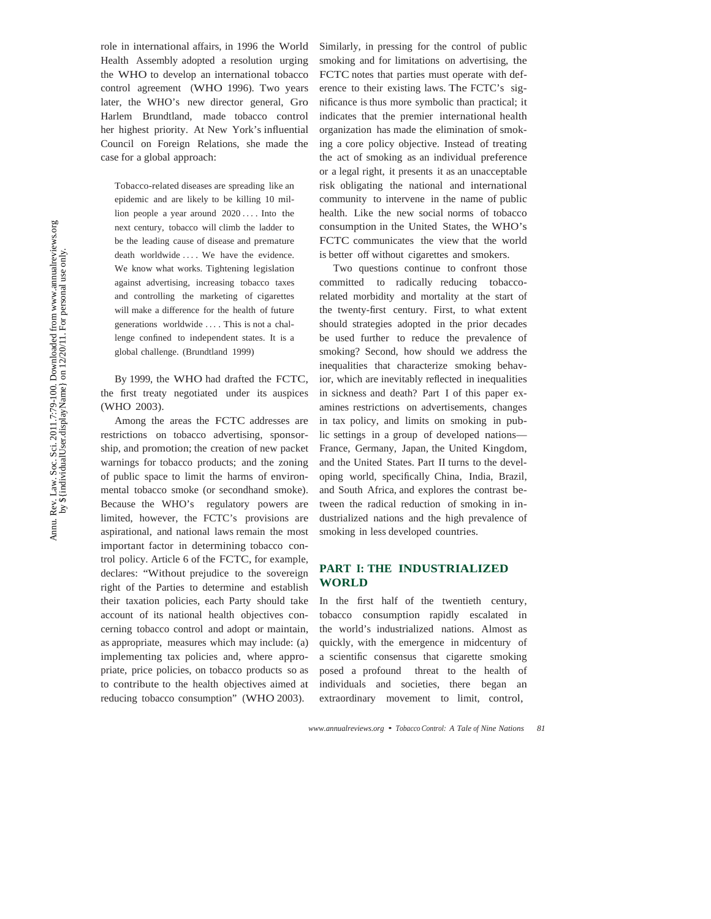role in international affairs, in 1996 the World Health Assembly adopted a resolution urging the WHO to develop an international tobacco control agreement (WHO 1996). Two years later, the WHO's new director general, Gro Harlem Brundtland, made tobacco control her highest priority. At New York's influential Council on Foreign Relations, she made the case for a global approach:

Tobacco-related diseases are spreading like an epidemic and are likely to be killing 10 million people a year around 2020 *. . .* . Into the next century, tobacco will climb the ladder to be the leading cause of disease and premature death worldwide .... We have the evidence. We know what works. Tightening legislation against advertising, increasing tobacco taxes and controlling the marketing of cigarettes will make a difference for the health of future generations worldwide *. . .* . This is not a challenge confined to independent states. It is a global challenge. (Brundtland 1999)

By 1999, the WHO had drafted the FCTC, the first treaty negotiated under its auspices (WHO 2003).

Among the areas the FCTC addresses are restrictions on tobacco advertising, sponsorship, and promotion; the creation of new packet warnings for tobacco products; and the zoning of public space to limit the harms of environmental tobacco smoke (or secondhand smoke). Because the WHO's regulatory powers are limited, however, the FCTC's provisions are aspirational, and national laws remain the most important factor in determining tobacco control policy. Article 6 of the FCTC, for example, declares: "Without prejudice to the sovereign right of the Parties to determine and establish their taxation policies, each Party should take account of its national health objectives concerning tobacco control and adopt or maintain, as appropriate, measures which may include: (a) implementing tax policies and, where appropriate, price policies, on tobacco products so as to contribute to the health objectives aimed at reducing tobacco consumption" (WHO 2003).

Similarly, in pressing for the control of public smoking and for limitations on advertising, the FCTC notes that parties must operate with deference to their existing laws. The FCTC's significance is thus more symbolic than practical; it indicates that the premier international health organization has made the elimination of smoking a core policy objective. Instead of treating the act of smoking as an individual preference or a legal right, it presents it as an unacceptable risk obligating the national and international community to intervene in the name of public health. Like the new social norms of tobacco consumption in the United States, the WHO's FCTC communicates the view that the world is better off without cigarettes and smokers.

Two questions continue to confront those committed to radically reducing tobaccorelated morbidity and mortality at the start of the twenty-first century. First, to what extent should strategies adopted in the prior decades be used further to reduce the prevalence of smoking? Second, how should we address the inequalities that characterize smoking behavior, which are inevitably reflected in inequalities in sickness and death? Part I of this paper examines restrictions on advertisements, changes in tax policy, and limits on smoking in public settings in a group of developed nations— France, Germany, Japan, the United Kingdom, and the United States. Part II turns to the developing world, specifically China, India, Brazil, and South Africa, and explores the contrast between the radical reduction of smoking in industrialized nations and the high prevalence of smoking in less developed countries.

## **PART I: THE INDUSTRIALIZED WORLD**

In the first half of the twentieth century, tobacco consumption rapidly escalated in the world's industrialized nations. Almost as quickly, with the emergence in midcentury of a scientific consensus that cigarette smoking posed a profound threat to the health of individuals and societies, there began an extraordinary movement to limit, control,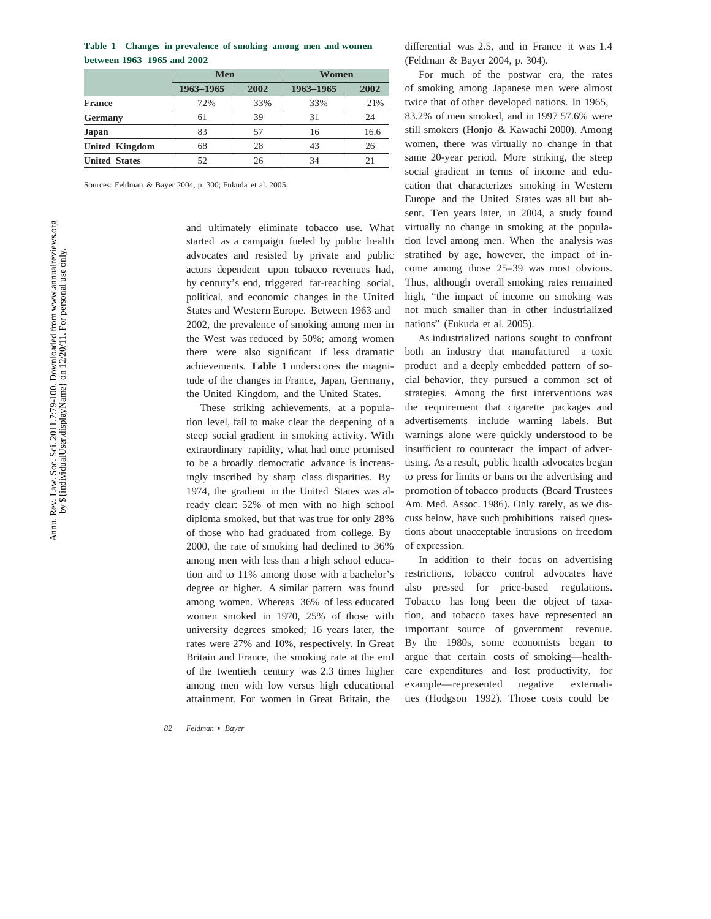**between 1963–1965 and 2002 Table 1 Changes in prevalence of smoking among men and women**

|                       | Men       |      | Women     |      |  |
|-----------------------|-----------|------|-----------|------|--|
|                       | 1963-1965 | 2002 | 1963-1965 | 2002 |  |
| <b>France</b>         | 72%       | 33%  | 33%       | 21%  |  |
| Germany               | 61        | 39   | 31        | 24   |  |
| Japan                 | 83        | 57   | 16        | 16.6 |  |
| <b>United Kingdom</b> | 68        | 28   | 43        | 26   |  |
| <b>United States</b>  | 52        | 26   | 34        | 21   |  |

Sources: Feldman & Bayer 2004, p. 300; Fukuda et al. 2005.

and ultimately eliminate tobacco use. What started as a campaign fueled by public health advocates and resisted by private and public actors dependent upon tobacco revenues had, by century's end, triggered far-reaching social, political, and economic changes in the United States and Western Europe. Between 1963 and 2002, the prevalence of smoking among men in the West was reduced by 50%; among women there were also significant if less dramatic achievements. **Table 1** underscores the magnitude of the changes in France, Japan, Germany, the United Kingdom, and the United States.

These striking achievements, at a population level, fail to make clear the deepening of a steep social gradient in smoking activity. With extraordinary rapidity, what had once promised to be a broadly democratic advance is increasingly inscribed by sharp class disparities. By 1974, the gradient in the United States was already clear: 52% of men with no high school diploma smoked, but that was true for only 28% of those who had graduated from college. By 2000, the rate of smoking had declined to 36% among men with less than a high school education and to 11% among those with a bachelor's degree or higher. A similar pattern was found among women. Whereas 36% of less educated women smoked in 1970, 25% of those with university degrees smoked; 16 years later, the rates were 27% and 10%, respectively. In Great Britain and France, the smoking rate at the end of the twentieth century was 2.3 times higher among men with low versus high educational attainment. For women in Great Britain, the

*82 Feldman* · *Bayer*

differential was 2.5, and in France it was 1.4 (Feldman & Bayer 2004, p. 304).

For much of the postwar era, the rates of smoking among Japanese men were almost twice that of other developed nations. In 1965, 83.2% of men smoked, and in 1997 57.6% were still smokers (Honjo & Kawachi 2000). Among women, there was virtually no change in that same 20-year period. More striking, the steep social gradient in terms of income and education that characterizes smoking in Western Europe and the United States was all but absent. Ten years later, in 2004, a study found virtually no change in smoking at the population level among men. When the analysis was stratified by age, however, the impact of income among those 25–39 was most obvious. Thus, although overall smoking rates remained high, "the impact of income on smoking was not much smaller than in other industrialized nations" (Fukuda et al. 2005).

As industrialized nations sought to confront both an industry that manufactured a toxic product and a deeply embedded pattern of social behavior, they pursued a common set of strategies. Among the first interventions was the requirement that cigarette packages and advertisements include warning labels. But warnings alone were quickly understood to be insufficient to counteract the impact of advertising. As a result, public health advocates began to press for limits or bans on the advertising and promotion of tobacco products (Board Trustees Am. Med. Assoc. 1986). Only rarely, as we discuss below, have such prohibitions raised questions about unacceptable intrusions on freedom of expression.

In addition to their focus on advertising restrictions, tobacco control advocates have also pressed for price-based regulations. Tobacco has long been the object of taxation, and tobacco taxes have represented an important source of government revenue. By the 1980s, some economists began to argue that certain costs of smoking—healthcare expenditures and lost productivity, for example—represented negative externalities (Hodgson 1992). Those costs could be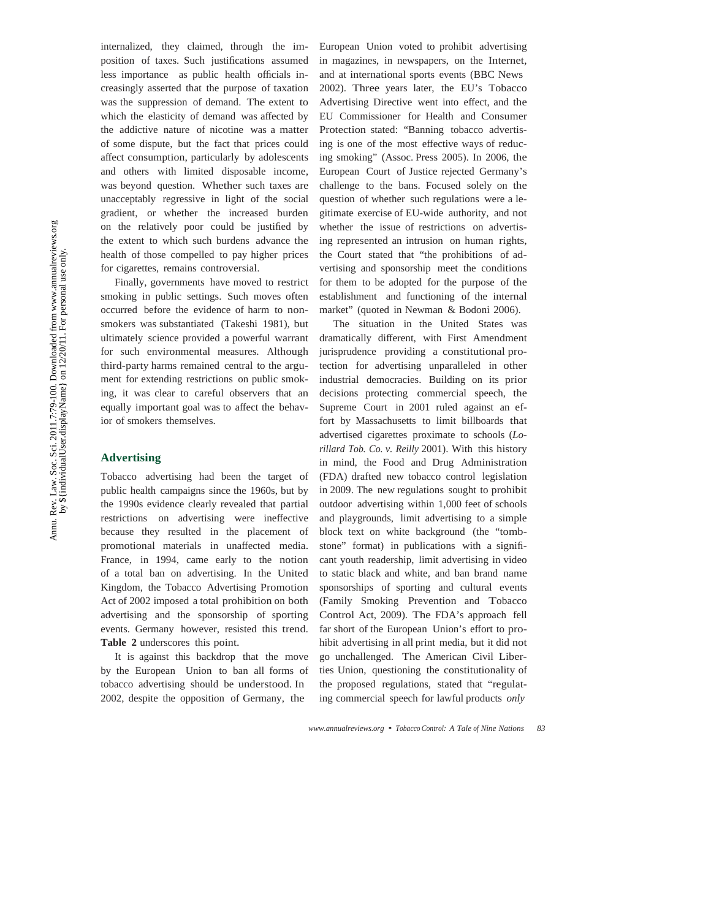internalized, they claimed, through the imposition of taxes. Such justifications assumed less importance as public health officials increasingly asserted that the purpose of taxation was the suppression of demand. The extent to which the elasticity of demand was affected by the addictive nature of nicotine was a matter of some dispute, but the fact that prices could affect consumption, particularly by adolescents and others with limited disposable income, was beyond question. Whether such taxes are unacceptably regressive in light of the social gradient, or whether the increased burden on the relatively poor could be justified by the extent to which such burdens advance the health of those compelled to pay higher prices for cigarettes, remains controversial.

Finally, governments have moved to restrict smoking in public settings. Such moves often occurred before the evidence of harm to nonsmokers was substantiated (Takeshi 1981), but ultimately science provided a powerful warrant for such environmental measures. Although third-party harms remained central to the argument for extending restrictions on public smoking, it was clear to careful observers that an equally important goal was to affect the behavior of smokers themselves.

#### **Advertising**

Tobacco advertising had been the target of public health campaigns since the 1960s, but by the 1990s evidence clearly revealed that partial restrictions on advertising were ineffective because they resulted in the placement of promotional materials in unaffected media. France, in 1994, came early to the notion of a total ban on advertising. In the United Kingdom, the Tobacco Advertising Promotion Act of 2002 imposed a total prohibition on both advertising and the sponsorship of sporting events. Germany however, resisted this trend. **Table 2** underscores this point.

It is against this backdrop that the move by the European Union to ban all forms of tobacco advertising should be understood. In 2002, despite the opposition of Germany, the

European Union voted to prohibit advertising in magazines, in newspapers, on the Internet, and at international sports events (BBC News 2002). Three years later, the EU's Tobacco Advertising Directive went into effect, and the EU Commissioner for Health and Consumer Protection stated: "Banning tobacco advertising is one of the most effective ways of reducing smoking" (Assoc. Press 2005). In 2006, the European Court of Justice rejected Germany's challenge to the bans. Focused solely on the question of whether such regulations were a legitimate exercise of EU-wide authority, and not whether the issue of restrictions on advertising represented an intrusion on human rights, the Court stated that "the prohibitions of advertising and sponsorship meet the conditions for them to be adopted for the purpose of the establishment and functioning of the internal market" (quoted in Newman & Bodoni 2006).

The situation in the United States was dramatically different, with First Amendment jurisprudence providing a constitutional protection for advertising unparalleled in other industrial democracies. Building on its prior decisions protecting commercial speech, the Supreme Court in 2001 ruled against an effort by Massachusetts to limit billboards that advertised cigarettes proximate to schools (*Lorillard Tob. Co. v. Reilly* 2001). With this history in mind, the Food and Drug Administration (FDA) drafted new tobacco control legislation in 2009. The new regulations sought to prohibit outdoor advertising within 1,000 feet of schools and playgrounds, limit advertising to a simple block text on white background (the "tombstone" format) in publications with a significant youth readership, limit advertising in video to static black and white, and ban brand name sponsorships of sporting and cultural events (Family Smoking Prevention and Tobacco Control Act, 2009). The FDA's approach fell far short of the European Union's effort to prohibit advertising in all print media, but it did not go unchallenged. The American Civil Liberties Union, questioning the constitutionality of the proposed regulations, stated that "regulating commercial speech for lawful products *only*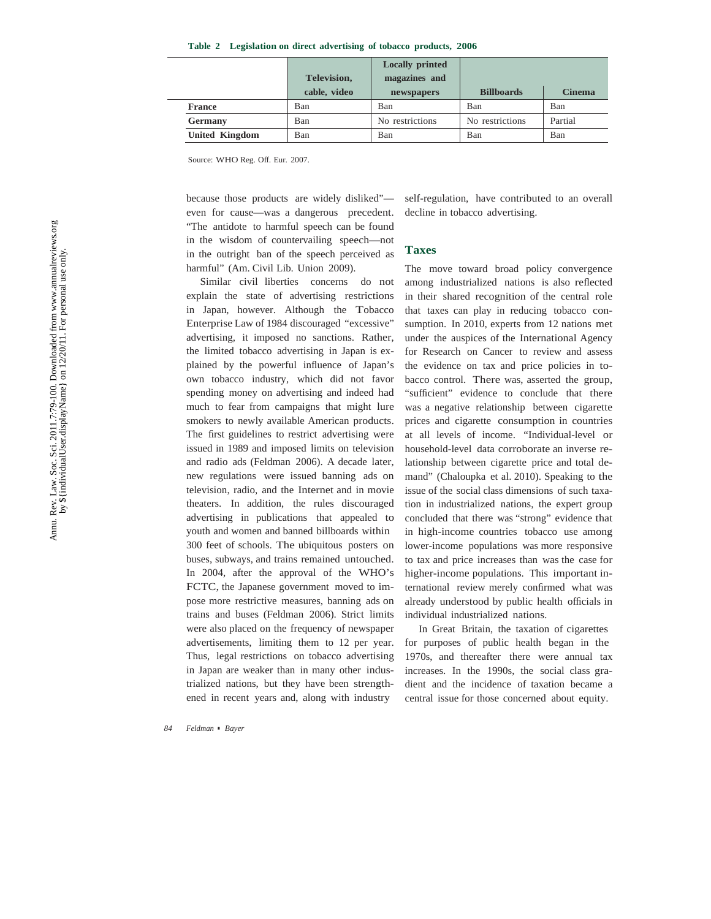**Table 2 Legislation on direct advertising of tobacco products, 2006**

|                       |              | <b>Locally printed</b> |                   |               |
|-----------------------|--------------|------------------------|-------------------|---------------|
|                       | Television,  | magazines and          |                   |               |
|                       | cable, video | newspapers             | <b>Billboards</b> | <b>Cinema</b> |
| <b>France</b>         | Ban          | Ban                    | Ban               | Ban           |
| Germany               | Ban          | No restrictions        | No restrictions   | Partial       |
| <b>United Kingdom</b> | Ban          | Ban                    | Ban               | Ban           |

Source: WHO Reg. Off. Eur. 2007.

because those products are widely disliked" even for cause—was a dangerous precedent. "The antidote to harmful speech can be found in the wisdom of countervailing speech—not in the outright ban of the speech perceived as harmful" (Am. Civil Lib. Union 2009).

Similar civil liberties concerns do not explain the state of advertising restrictions in Japan, however. Although the Tobacco Enterprise Law of 1984 discouraged "excessive" advertising, it imposed no sanctions. Rather, the limited tobacco advertising in Japan is explained by the powerful influence of Japan's own tobacco industry, which did not favor spending money on advertising and indeed had much to fear from campaigns that might lure smokers to newly available American products. The first guidelines to restrict advertising were issued in 1989 and imposed limits on television and radio ads (Feldman 2006). A decade later, new regulations were issued banning ads on television, radio, and the Internet and in movie theaters. In addition, the rules discouraged advertising in publications that appealed to youth and women and banned billboards within 300 feet of schools. The ubiquitous posters on buses, subways, and trains remained untouched. In 2004, after the approval of the WHO's FCTC, the Japanese government moved to impose more restrictive measures, banning ads on trains and buses (Feldman 2006). Strict limits were also placed on the frequency of newspaper advertisements, limiting them to 12 per year. Thus, legal restrictions on tobacco advertising in Japan are weaker than in many other industrialized nations, but they have been strengthened in recent years and, along with industry

self-regulation, have contributed to an overall decline in tobacco advertising.

#### **Taxes**

The move toward broad policy convergence among industrialized nations is also reflected in their shared recognition of the central role that taxes can play in reducing tobacco consumption. In 2010, experts from 12 nations met under the auspices of the International Agency for Research on Cancer to review and assess the evidence on tax and price policies in tobacco control. There was, asserted the group, "sufficient" evidence to conclude that there was a negative relationship between cigarette prices and cigarette consumption in countries at all levels of income. "Individual-level or household-level data corroborate an inverse relationship between cigarette price and total demand" (Chaloupka et al. 2010). Speaking to the issue of the social class dimensions of such taxation in industrialized nations, the expert group concluded that there was "strong" evidence that in high-income countries tobacco use among lower-income populations was more responsive to tax and price increases than was the case for higher-income populations. This important international review merely confirmed what was already understood by public health officials in individual industrialized nations.

In Great Britain, the taxation of cigarettes for purposes of public health began in the 1970s, and thereafter there were annual tax increases. In the 1990s, the social class gradient and the incidence of taxation became a central issue for those concerned about equity.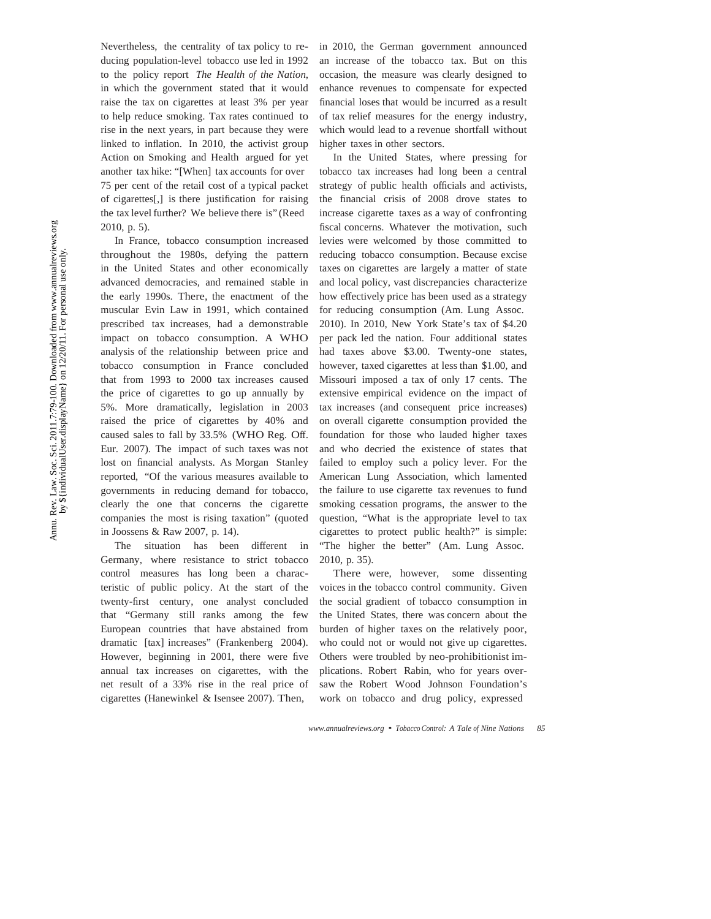Nevertheless, the centrality of tax policy to reducing population-level tobacco use led in 1992 to the policy report *The Health of the Nation*, in which the government stated that it would raise the tax on cigarettes at least 3% per year to help reduce smoking. Tax rates continued to rise in the next years, in part because they were linked to inflation. In 2010, the activist group Action on Smoking and Health argued for yet another tax hike: "[When] tax accounts for over 75 per cent of the retail cost of a typical packet of cigarettes[,] is there justification for raising the tax level further? We believe there is" (Reed 2010, p. 5).

In France, tobacco consumption increased throughout the 1980s, defying the pattern in the United States and other economically advanced democracies, and remained stable in the early 1990s. There, the enactment of the muscular Evin Law in 1991, which contained prescribed tax increases, had a demonstrable impact on tobacco consumption. A WHO analysis of the relationship between price and tobacco consumption in France concluded that from 1993 to 2000 tax increases caused the price of cigarettes to go up annually by 5%. More dramatically, legislation in 2003 raised the price of cigarettes by 40% and caused sales to fall by 33.5% (WHO Reg. Off. Eur. 2007). The impact of such taxes was not lost on financial analysts. As Morgan Stanley reported, "Of the various measures available to governments in reducing demand for tobacco, clearly the one that concerns the cigarette companies the most is rising taxation" (quoted in Joossens & Raw 2007, p. 14).

The situation has been different in Germany, where resistance to strict tobacco control measures has long been a characteristic of public policy. At the start of the twenty-first century, one analyst concluded that "Germany still ranks among the few European countries that have abstained from dramatic [tax] increases" (Frankenberg 2004). However, beginning in 2001, there were five annual tax increases on cigarettes, with the net result of a 33% rise in the real price of cigarettes (Hanewinkel & Isensee 2007). Then,

in 2010, the German government announced an increase of the tobacco tax. But on this occasion, the measure was clearly designed to enhance revenues to compensate for expected financial loses that would be incurred as a result of tax relief measures for the energy industry, which would lead to a revenue shortfall without higher taxes in other sectors.

In the United States, where pressing for tobacco tax increases had long been a central strategy of public health officials and activists, the financial crisis of 2008 drove states to increase cigarette taxes as a way of confronting fiscal concerns. Whatever the motivation, such levies were welcomed by those committed to reducing tobacco consumption. Because excise taxes on cigarettes are largely a matter of state and local policy, vast discrepancies characterize how effectively price has been used as a strategy for reducing consumption (Am. Lung Assoc. 2010). In 2010, New York State's tax of \$4.20 per pack led the nation. Four additional states had taxes above \$3.00. Twenty-one states, however, taxed cigarettes at less than \$1.00, and Missouri imposed a tax of only 17 cents. The extensive empirical evidence on the impact of tax increases (and consequent price increases) on overall cigarette consumption provided the foundation for those who lauded higher taxes and who decried the existence of states that failed to employ such a policy lever. For the American Lung Association, which lamented the failure to use cigarette tax revenues to fund smoking cessation programs, the answer to the question, "What is the appropriate level to tax cigarettes to protect public health?" is simple: "The higher the better" (Am. Lung Assoc. 2010, p. 35).

There were, however, some dissenting voices in the tobacco control community. Given the social gradient of tobacco consumption in the United States, there was concern about the burden of higher taxes on the relatively poor, who could not or would not give up cigarettes. Others were troubled by neo-prohibitionist implications. Robert Rabin, who for years oversaw the Robert Wood Johnson Foundation's work on tobacco and drug policy, expressed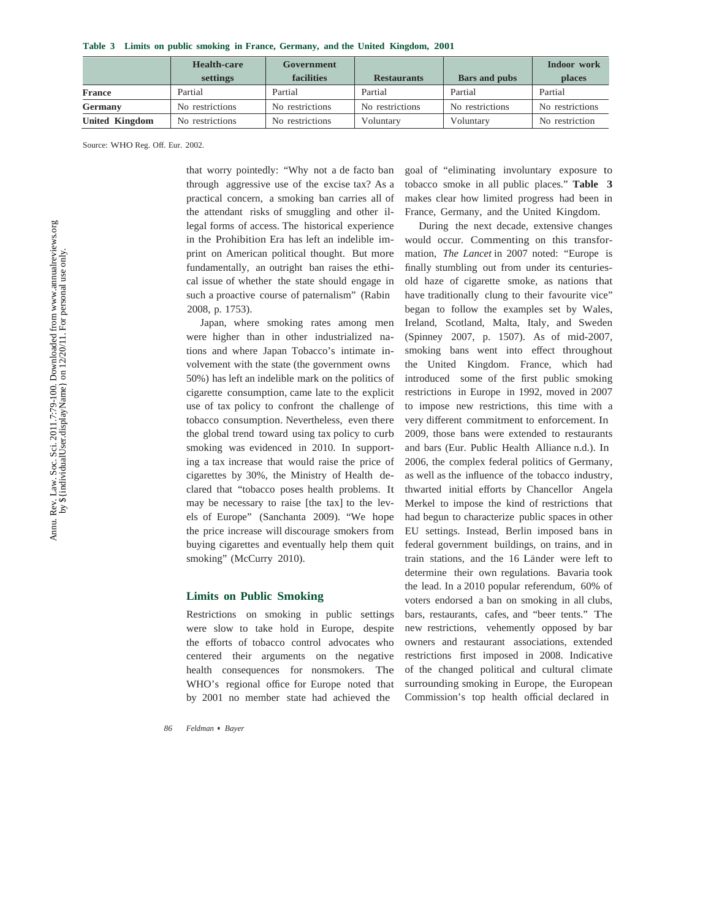|  |  | Table 3 Limits on public smoking in France, Germany, and the United Kingdom, 2001 |  |  |  |  |  |  |
|--|--|-----------------------------------------------------------------------------------|--|--|--|--|--|--|
|--|--|-----------------------------------------------------------------------------------|--|--|--|--|--|--|

|                       | <b>Health-care</b> | Government      |                    |                      | Indoor work     |
|-----------------------|--------------------|-----------------|--------------------|----------------------|-----------------|
|                       | settings           | facilities      | <b>Restaurants</b> | <b>Bars</b> and pubs | <b>places</b>   |
| <b>France</b>         | Partial            | Partial         | Partial            | Partial              | Partial         |
| Germany               | No restrictions    | No restrictions | No restrictions    | No restrictions      | No restrictions |
| <b>United Kingdom</b> | No restrictions    | No restrictions | Voluntary          | Voluntary            | No restriction  |

Source: WHO Reg. Off. Eur. 2002.

that worry pointedly: "Why not a de facto ban through aggressive use of the excise tax? As a practical concern, a smoking ban carries all of the attendant risks of smuggling and other illegal forms of access. The historical experience in the Prohibition Era has left an indelible imprint on American political thought. But more fundamentally, an outright ban raises the ethical issue of whether the state should engage in such a proactive course of paternalism" (Rabin 2008, p. 1753).

Japan, where smoking rates among men were higher than in other industrialized nations and where Japan Tobacco's intimate involvement with the state (the government owns 50%) has left an indelible mark on the politics of cigarette consumption, came late to the explicit use of tax policy to confront the challenge of tobacco consumption. Nevertheless, even there the global trend toward using tax policy to curb smoking was evidenced in 2010. In supporting a tax increase that would raise the price of cigarettes by 30%, the Ministry of Health declared that "tobacco poses health problems. It may be necessary to raise [the tax] to the levels of Europe" (Sanchanta 2009). "We hope the price increase will discourage smokers from buying cigarettes and eventually help them quit smoking" (McCurry 2010).

#### **Limits on Public Smoking**

Restrictions on smoking in public settings were slow to take hold in Europe, despite the efforts of tobacco control advocates who centered their arguments on the negative health consequences for nonsmokers. The WHO's regional office for Europe noted that by 2001 no member state had achieved the

*86 Feldman* · *Bayer*

goal of "eliminating involuntary exposure to tobacco smoke in all public places." **Table 3**  makes clear how limited progress had been in France, Germany, and the United Kingdom.

During the next decade, extensive changes would occur. Commenting on this transformation, *The Lancet* in 2007 noted: "Europe is finally stumbling out from under its centuriesold haze of cigarette smoke, as nations that have traditionally clung to their favourite vice" began to follow the examples set by Wales, Ireland, Scotland, Malta, Italy, and Sweden (Spinney 2007, p. 1507). As of mid-2007, smoking bans went into effect throughout the United Kingdom. France, which had introduced some of the first public smoking restrictions in Europe in 1992, moved in 2007 to impose new restrictions, this time with a very different commitment to enforcement. In 2009, those bans were extended to restaurants and bars (Eur. Public Health Alliance n.d.). In 2006, the complex federal politics of Germany, as well as the influence of the tobacco industry, thwarted initial efforts by Chancellor Angela Merkel to impose the kind of restrictions that had begun to characterize public spaces in other EU settings. Instead, Berlin imposed bans in federal government buildings, on trains, and in train stations, and the 16 Länder were left to determine their own regulations. Bavaria took the lead. In a 2010 popular referendum, 60% of voters endorsed a ban on smoking in all clubs, bars, restaurants, cafes, and "beer tents." The new restrictions, vehemently opposed by bar owners and restaurant associations, extended restrictions first imposed in 2008. Indicative of the changed political and cultural climate surrounding smoking in Europe, the European Commission's top health official declared in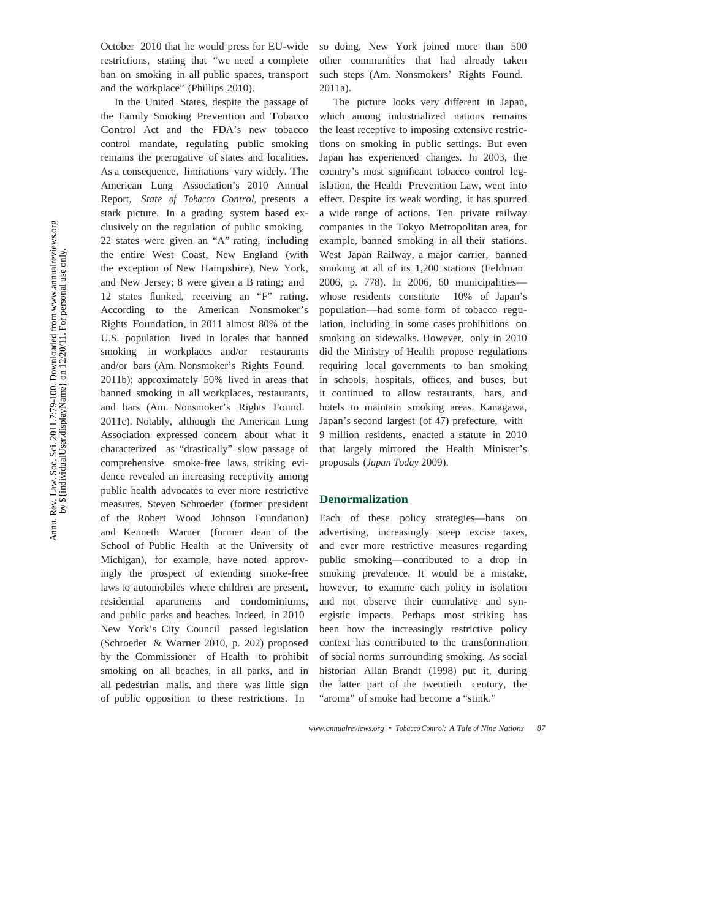October 2010 that he would press for EU-wide restrictions, stating that "we need a complete ban on smoking in all public spaces, transport and the workplace" (Phillips 2010).

In the United States, despite the passage of the Family Smoking Prevention and Tobacco Control Act and the FDA's new tobacco control mandate, regulating public smoking remains the prerogative of states and localities. As a consequence, limitations vary widely. The American Lung Association's 2010 Annual Report, *State of Tobacco Control*, presents a stark picture. In a grading system based exclusively on the regulation of public smoking, 22 states were given an "A" rating, including the entire West Coast, New England (with the exception of New Hampshire), New York, and New Jersey; 8 were given a B rating; and 12 states flunked, receiving an "F" rating. According to the American Nonsmoker's Rights Foundation, in 2011 almost 80% of the U.S. population lived in locales that banned smoking in workplaces and/or restaurants and/or bars (Am. Nonsmoker's Rights Found. 2011b); approximately 50% lived in areas that banned smoking in all workplaces, restaurants, and bars (Am. Nonsmoker's Rights Found. 2011c). Notably, although the American Lung Association expressed concern about what it characterized as "drastically" slow passage of comprehensive smoke-free laws, striking evidence revealed an increasing receptivity among public health advocates to ever more restrictive measures. Steven Schroeder (former president of the Robert Wood Johnson Foundation) and Kenneth Warner (former dean of the School of Public Health at the University of Michigan), for example, have noted approvingly the prospect of extending smoke-free laws to automobiles where children are present, residential apartments and condominiums, and public parks and beaches. Indeed, in 2010 New York's City Council passed legislation (Schroeder & Warner 2010, p. 202) proposed by the Commissioner of Health to prohibit smoking on all beaches, in all parks, and in all pedestrian malls, and there was little sign of public opposition to these restrictions. In

so doing, New York joined more than 500 other communities that had already taken such steps (Am. Nonsmokers' Rights Found. 2011a).

The picture looks very different in Japan, which among industrialized nations remains the least receptive to imposing extensive restrictions on smoking in public settings. But even Japan has experienced changes. In 2003, the country's most significant tobacco control legislation, the Health Prevention Law, went into effect. Despite its weak wording, it has spurred a wide range of actions. Ten private railway companies in the Tokyo Metropolitan area, for example, banned smoking in all their stations. West Japan Railway, a major carrier, banned smoking at all of its 1,200 stations (Feldman 2006, p. 778). In 2006, 60 municipalities whose residents constitute 10% of Japan's population—had some form of tobacco regulation, including in some cases prohibitions on smoking on sidewalks. However, only in 2010 did the Ministry of Health propose regulations requiring local governments to ban smoking in schools, hospitals, offices, and buses, but it continued to allow restaurants, bars, and hotels to maintain smoking areas. Kanagawa, Japan's second largest (of 47) prefecture, with 9 million residents, enacted a statute in 2010 that largely mirrored the Health Minister's proposals (*Japan Today* 2009).

#### **Denormalization**

Each of these policy strategies—bans on advertising, increasingly steep excise taxes, and ever more restrictive measures regarding public smoking—contributed to a drop in smoking prevalence. It would be a mistake, however, to examine each policy in isolation and not observe their cumulative and synergistic impacts. Perhaps most striking has been how the increasingly restrictive policy context has contributed to the transformation of social norms surrounding smoking. As social historian Allan Brandt (1998) put it, during the latter part of the twentieth century, the "aroma" of smoke had become a "stink."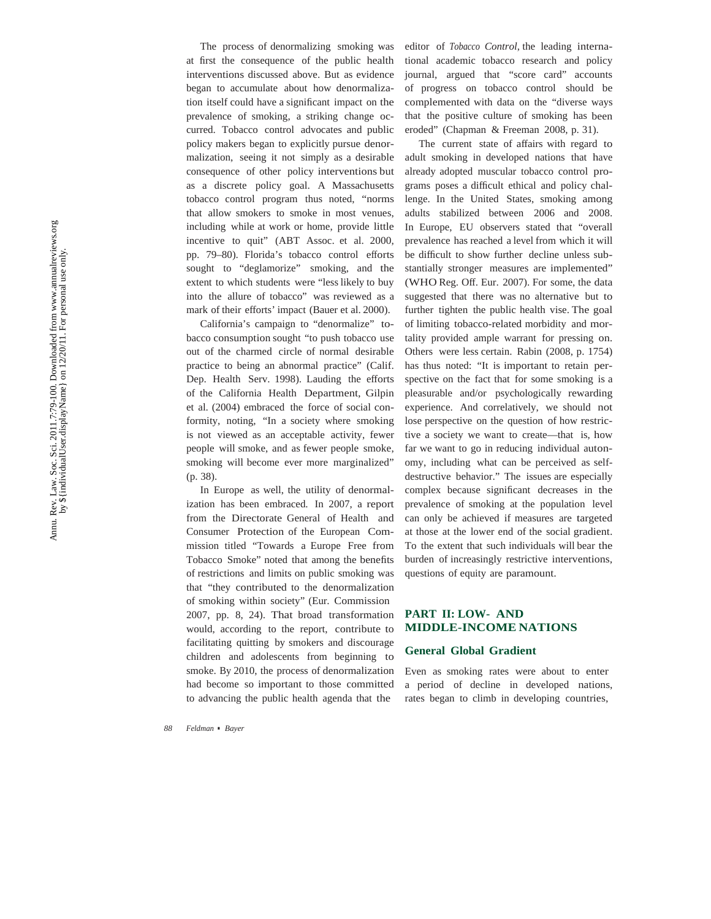The process of denormalizing smoking was at first the consequence of the public health interventions discussed above. But as evidence began to accumulate about how denormalization itself could have a significant impact on the prevalence of smoking, a striking change occurred. Tobacco control advocates and public policy makers began to explicitly pursue denormalization, seeing it not simply as a desirable consequence of other policy interventions but as a discrete policy goal. A Massachusetts tobacco control program thus noted, "norms that allow smokers to smoke in most venues, including while at work or home, provide little incentive to quit" (ABT Assoc. et al. 2000, pp. 79–80). Florida's tobacco control efforts sought to "deglamorize" smoking, and the extent to which students were "less likely to buy into the allure of tobacco" was reviewed as a mark of their efforts' impact (Bauer et al. 2000).

California's campaign to "denormalize" tobacco consumption sought "to push tobacco use out of the charmed circle of normal desirable practice to being an abnormal practice" (Calif. Dep. Health Serv. 1998). Lauding the efforts of the California Health Department, Gilpin et al. (2004) embraced the force of social conformity, noting, "In a society where smoking is not viewed as an acceptable activity, fewer people will smoke, and as fewer people smoke, smoking will become ever more marginalized" (p. 38).

In Europe as well, the utility of denormalization has been embraced. In 2007, a report from the Directorate General of Health and Consumer Protection of the European Commission titled "Towards a Europe Free from Tobacco Smoke" noted that among the bene fits of restrictions and limits on public smoking was that "they contributed to the denormalization of smoking within society" (Eur. Commission 2007, pp. 8, 24). That broad transformation would, according to the report, contribute to facilitating quitting by smokers and discourage children and adolescents from beginning to smoke. By 2010, the process of denormalization had become so important to those committed to advancing the public health agenda that the

editor of *Tobacco Control*, the leading international academic tobacco research and policy journal, argued that "score card" accounts of progress on tobacco control should be complemented with data on the "diverse ways that the positive culture of smoking has been eroded" (Chapman & Freeman 2008, p. 31).

The current state of affairs with regard to adult smoking in developed nations that have already adopted muscular tobacco control programs poses a difficult ethical and policy challenge. In the United States, smoking among adults stabilized between 2006 and 2008. In Europe, EU observers stated that "overall prevalence has reached a level from which it will be difficult to show further decline unless substantially stronger measures are implemented" (WHO Reg. Off. Eur. 2007). For some, the data suggested that there was no alternative but to further tighten the public health vise. The goal of limiting tobacco-related morbidity and mortality provided ample warrant for pressing on. Others were less certain. Rabin (2008, p. 1754) has thus noted: "It is important to retain perspective on the fact that for some smoking is a pleasurable and/or psychologically rewarding experience. And correlatively, we should not lose perspective on the question of how restrictive a society we want to create—that is, how far we want to go in reducing individual autonomy, including what can be perceived as selfdestructive behavior." The issues are especially complex because signi ficant decreases in the prevalence of smoking at the population level can only be achieved if measures are targeted at those at the lower end of the social gradient. To the extent that such individuals will bear the burden of increasingly restrictive interventions, questions of equity are paramount.

## **PART II: LOW- AND MIDDLE-INCOME NATIONS**

#### **General Global Gradient**

Even as smoking rates were about to enter a period of decline in developed nations, rates began to climb in developing countries,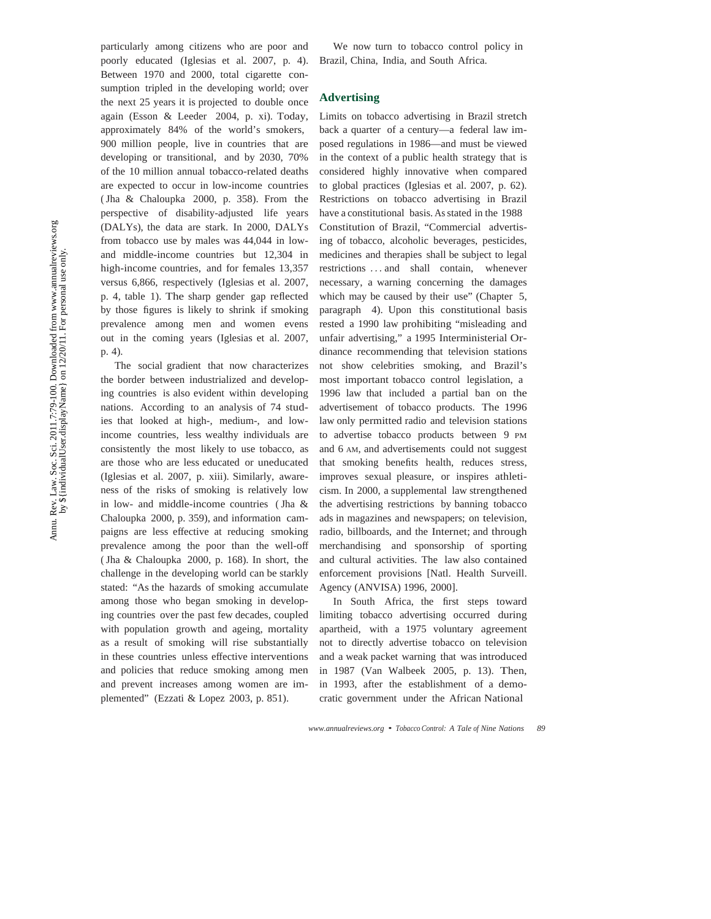particularly among citizens who are poor and poorly educated (Iglesias et al. 2007, p. 4). Between 1970 and 2000, total cigarette consumption tripled in the developing world; over the next 25 years it is projected to double once again (Esson & Leeder 2004, p. xi). Today, approximately 84% of the world's smokers, 900 million people, live in countries that are developing or transitional, and by 2030, 70% of the 10 million annual tobacco-related deaths are expected to occur in low-income countries ( Jha & Chaloupka 2000, p. 358). From the perspective of disability-adjusted life years (DALYs), the data are stark. In 2000, DALYs from tobacco use by males was 44,044 in lowand middle-income countries but 12,304 in high-income countries, and for females 13,357 versus 6,866, respectively (Iglesias et al. 2007, p. 4, table 1). The sharp gender gap reflected by those figures is likely to shrink if smoking prevalence among men and women evens out in the coming years (Iglesias et al. 2007, p. 4).

The social gradient that now characterizes the border between industrialized and developing countries is also evident within developing nations. According to an analysis of 74 studies that looked at high-, medium-, and lowincome countries, less wealthy individuals are consistently the most likely to use tobacco, as are those who are less educated or uneducated (Iglesias et al. 2007, p. xiii). Similarly, awareness of the risks of smoking is relatively low in low- and middle-income countries ( Jha & Chaloupka 2000, p. 359), and information campaigns are less effective at reducing smoking prevalence among the poor than the well-off ( Jha & Chaloupka 2000, p. 168). In short, the challenge in the developing world can be starkly stated: "As the hazards of smoking accumulate among those who began smoking in developing countries over the past few decades, coupled with population growth and ageing, mortality as a result of smoking will rise substantially in these countries unless effective interventions and policies that reduce smoking among men and prevent increases among women are implemented" (Ezzati & Lopez 2003, p. 851).

We now turn to tobacco control policy in Brazil, China, India, and South Africa.

#### **Advertising**

Limits on tobacco advertising in Brazil stretch back a quarter of a century—a federal law imposed regulations in 1986—and must be viewed in the context of a public health strategy that is considered highly innovative when compared to global practices (Iglesias et al. 2007, p. 62). Restrictions on tobacco advertising in Brazil have a constitutional basis. As stated in the 1988 Constitution of Brazil, "Commercial advertising of tobacco, alcoholic beverages, pesticides, medicines and therapies shall be subject to legal restrictions *. . .* and shall contain, whenever necessary, a warning concerning the damages which may be caused by their use" (Chapter 5, paragraph 4). Upon this constitutional basis rested a 1990 law prohibiting "misleading and unfair advertising," a 1995 Interministerial Ordinance recommending that television stations not show celebrities smoking, and Brazil's most important tobacco control legislation, a 1996 law that included a partial ban on the advertisement of tobacco products. The 1996 law only permitted radio and television stations to advertise tobacco products between 9 PM and 6 AM, and advertisements could not suggest that smoking benefits health, reduces stress, improves sexual pleasure, or inspires athleticism. In 2000, a supplemental law strengthened the advertising restrictions by banning tobacco ads in magazines and newspapers; on television, radio, billboards, and the Internet; and through merchandising and sponsorship of sporting and cultural activities. The law also contained enforcement provisions [Natl. Health Surveill. Agency (ANVISA) 1996, 2000].

In South Africa, the first steps toward limiting tobacco advertising occurred during apartheid, with a 1975 voluntary agreement not to directly advertise tobacco on television and a weak packet warning that was introduced in 1987 (Van Walbeek 2005, p. 13). Then, in 1993, after the establishment of a democratic government under the African National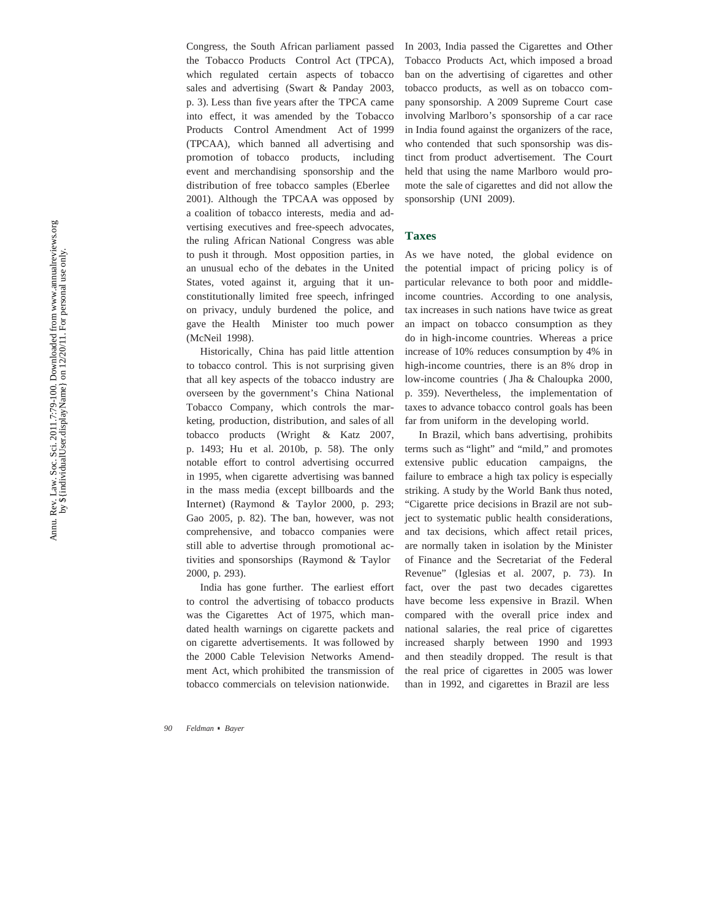Congress, the South African parliament passed the Tobacco Products Control Act (TPCA), which regulated certain aspects of tobacco sales and advertising (Swart & Panday 2003, p. 3). Less than five years after the TPCA came into effect, it was amended by the Tobacco Products Control Amendment Act of 1999 (TPCAA), which banned all advertising and promotion of tobacco products, including event and merchandising sponsorship and the distribution of free tobacco samples (Eberlee 2001). Although the TPCAA was opposed by a coalition of tobacco interests, media and advertising executives and free-speech advocates, the ruling African National Congress was able to push it through. Most opposition parties, in an unusual echo of the debates in the United States, voted against it, arguing that it unconstitutionally limited free speech, infringed on privacy, unduly burdened the police, and gave the Health Minister too much power (McNeil 1998).

Historically, China has paid little attention to tobacco control. This is not surprising given that all key aspects of the tobacco industry are overseen by the government's China National Tobacco Company, which controls the marketing, production, distribution, and sales of all tobacco products (Wright & Katz 2007, p. 1493; Hu et al. 2010b, p. 58). The only notable effort to control advertising occurred in 1995, when cigarette advertising was banned in the mass media (except billboards and the Internet) (Raymond & Taylor 2000, p. 293; Gao 2005, p. 82). The ban, however, was not comprehensive, and tobacco companies were still able to advertise through promotional activities and sponsorships (Raymond & Taylor 2000, p. 293).

India has gone further. The earliest effort to control the advertising of tobacco products was the Cigarettes Act of 1975, which mandated health warnings on cigarette packets and on cigarette advertisements. It was followed by the 2000 Cable Television Networks Amendment Act, which prohibited the transmission of tobacco commercials on television nationwide.

In 2003, India passed the Cigarettes and Other Tobacco Products Act, which imposed a broad ban on the advertising of cigarettes and other tobacco products, as well as on tobacco company sponsorship. A 2009 Supreme Court case involving Marlboro's sponsorship of a car race in India found against the organizers of the race, who contended that such sponsorship was distinct from product advertisement. The Court held that using the name Marlboro would promote the sale of cigarettes and did not allow the sponsorship (UNI 2009).

#### **Taxes**

As we have noted, the global evidence on the potential impact of pricing policy is of particular relevance to both poor and middleincome countries. According to one analysis, tax increases in such nations have twice as great an impact on tobacco consumption as they do in high-income countries. Whereas a price increase of 10% reduces consumption by 4% in high-income countries, there is an 8% drop in low-income countries ( Jha & Chaloupka 2000, p. 359). Nevertheless, the implementation of taxes to advance tobacco control goals has been far from uniform in the developing world.

In Brazil, which bans advertising, prohibits terms such as "light" and "mild," and promotes extensive public education campaigns, the failure to embrace a high tax policy is especially striking. A study by the World Bank thus noted, "Cigarette price decisions in Brazil are not subject to systematic public health considerations, and tax decisions, which affect retail prices, are normally taken in isolation by the Minister of Finance and the Secretariat of the Federal Revenue" (Iglesias et al. 2007, p. 73). In fact, over the past two decades cigarettes have become less expensive in Brazil. When compared with the overall price index and national salaries, the real price of cigarettes increased sharply between 1990 and 1993 and then steadily dropped. The result is that the real price of cigarettes in 2005 was lower than in 1992, and cigarettes in Brazil are less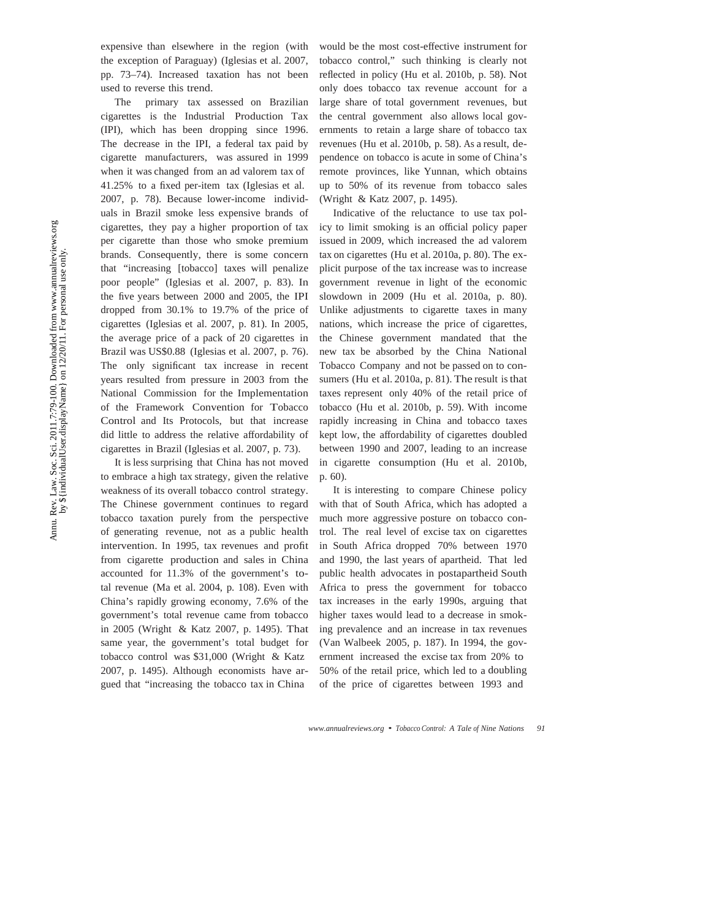expensive than elsewhere in the region (with the exception of Paraguay) (Iglesias et al. 2007, pp. 73–74). Increased taxation has not been used to reverse this trend.

The primary tax assessed on Brazilian cigarettes is the Industrial Production Tax (IPI), which has been dropping since 1996. The decrease in the IPI, a federal tax paid by cigarette manufacturers, was assured in 1999 when it was changed from an ad valorem tax of 41.25% to a fixed per-item tax (Iglesias et al. 2007, p. 78). Because lower-income individuals in Brazil smoke less expensive brands of cigarettes, they pay a higher proportion of tax per cigarette than those who smoke premium brands. Consequently, there is some concern that "increasing [tobacco] taxes will penalize poor people" (Iglesias et al. 2007, p. 83). In the five years between 2000 and 2005, the IPI dropped from 30.1% to 19.7% of the price of cigarettes (Iglesias et al. 2007, p. 81). In 2005, the average price of a pack of 20 cigarettes in Brazil was US\$0.88 (Iglesias et al. 2007, p. 76). The only significant tax increase in recent years resulted from pressure in 2003 from the National Commission for the Implementation of the Framework Convention for Tobacco Control and Its Protocols, but that increase did little to address the relative affordability of cigarettes in Brazil (Iglesias et al. 2007, p. 73).

It is less surprising that China has not moved to embrace a high tax strategy, given the relative weakness of its overall tobacco control strategy. The Chinese government continues to regard tobacco taxation purely from the perspective of generating revenue, not as a public health intervention. In 1995, tax revenues and profit from cigarette production and sales in China accounted for 11.3% of the government's total revenue (Ma et al. 2004, p. 108). Even with China's rapidly growing economy, 7.6% of the government's total revenue came from tobacco in 2005 (Wright & Katz 2007, p. 1495). That same year, the government's total budget for tobacco control was \$31,000 (Wright & Katz 2007, p. 1495). Although economists have argued that "increasing the tobacco tax in China

would be the most cost-effective instrument for tobacco control," such thinking is clearly not reflected in policy (Hu et al. 2010b, p. 58). Not only does tobacco tax revenue account for a large share of total government revenues, but the central government also allows local governments to retain a large share of tobacco tax revenues (Hu et al. 2010b, p. 58). As a result, dependence on tobacco is acute in some of China's remote provinces, like Yunnan, which obtains up to 50% of its revenue from tobacco sales (Wright & Katz 2007, p. 1495).

Indicative of the reluctance to use tax policy to limit smoking is an official policy paper issued in 2009, which increased the ad valorem tax on cigarettes (Hu et al. 2010a, p. 80). The explicit purpose of the tax increase was to increase government revenue in light of the economic slowdown in 2009 (Hu et al. 2010a, p. 80). Unlike adjustments to cigarette taxes in many nations, which increase the price of cigarettes, the Chinese government mandated that the new tax be absorbed by the China National Tobacco Company and not be passed on to consumers (Hu et al. 2010a, p. 81). The result is that taxes represent only 40% of the retail price of tobacco (Hu et al. 2010b, p. 59). With income rapidly increasing in China and tobacco taxes kept low, the affordability of cigarettes doubled between 1990 and 2007, leading to an increase in cigarette consumption (Hu et al. 2010b, p. 60).

It is interesting to compare Chinese policy with that of South Africa, which has adopted a much more aggressive posture on tobacco control. The real level of excise tax on cigarettes in South Africa dropped 70% between 1970 and 1990, the last years of apartheid. That led public health advocates in postapartheid South Africa to press the government for tobacco tax increases in the early 1990s, arguing that higher taxes would lead to a decrease in smoking prevalence and an increase in tax revenues (Van Walbeek 2005, p. 187). In 1994, the government increased the excise tax from 20% to 50% of the retail price, which led to a doubling of the price of cigarettes between 1993 and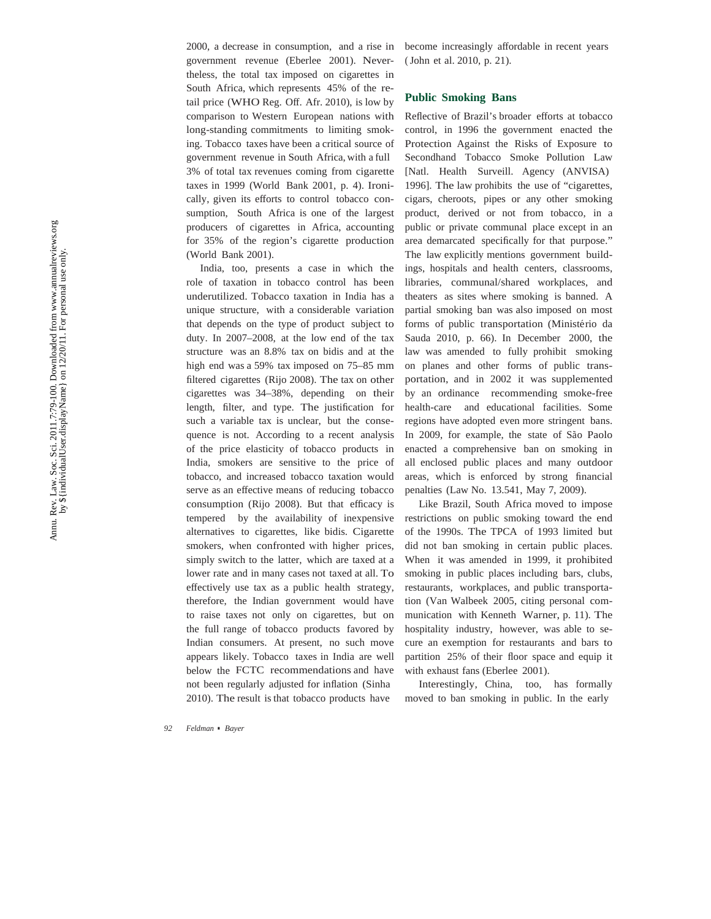2000, a decrease in consumption, and a rise in government revenue (Eberlee 2001). Nevertheless, the total tax imposed on cigarettes in South Africa, which represents 45% of the retail price (WHO Reg. Off. Afr. 2010), is low by comparison to Western European nations with long-standing commitments to limiting smoking. Tobacco taxes have been a critical source of government revenue in South Africa, with a full 3% of total tax revenues coming from cigarette taxes in 1999 (World Bank 2001, p. 4). Ironically, given its efforts to control tobacco consumption, South Africa is one of the largest producers of cigarettes in Africa, accounting for 35% of the region's cigarette production (World Bank 2001).

India, too, presents a case in which the role of taxation in tobacco control has been underutilized. Tobacco taxation in India has a unique structure, with a considerable variation that depends on the type of product subject to duty. In 2007–2008, at the low end of the tax structure was an 8.8% tax on bidis and at the high end was a 59% tax imposed on 75–85 mm filtered cigarettes (Rijo 2008). The tax on other cigarettes was 34–38%, depending on their length, filter, and type. The justi fication for such a variable tax is unclear, but the consequence is not. According to a recent analysis of the price elasticity of tobacco products in India, smokers are sensitive to the price of tobacco, and increased tobacco taxation would serve as an effective means of reducing tobacco consumption (Rijo 2008). But that efficacy is tempered by the availability of inexpensive alternatives to cigarettes, like bidis. Cigarette smokers, when confronted with higher prices, simply switch to the latter, which are taxed at a lower rate and in many cases not taxed at all. To effectively use tax as a public health strategy, therefore, the Indian government would have to raise taxes not only on cigarettes, but on the full range of tobacco products favored by Indian consumers. At present, no such move appears likely. Tobacco taxes in India are well below the FCTC recommendations and have not been regularly adjusted for in flation (Sinha 2010). The result is that tobacco products have

become increasingly affordable in recent years ( John et al. 2010, p. 21).

#### **Public Smoking Bans**

Re flective of Brazil's broader efforts at tobacco control, in 1996 the government enacted the Protection Against the Risks of Exposure to Secondhand Tobacco Smoke Pollution Law [Natl. Health Surveill. Agency (ANVISA) 1996]. The law prohibits the use of "cigarettes, cigars, cheroots, pipes or any other smoking product, derived or not from tobacco, in a public or private communal place except in an area demarcated speci fically for that purpose." The law explicitly mentions government buildings, hospitals and health centers, classrooms, libraries, communal/shared workplaces, and theaters as sites where smoking is banned. A partial smoking ban was also imposed on most forms of public transportation (Ministério da Sauda 2010, p. 66). In December 2000, the law was amended to fully prohibit smoking on planes and other forms of public transportation, and in 2002 it was supplemented by an ordinance recommending smoke-free health-care and educational facilities. Some regions have adopted even more stringent bans. In 2009, for example, the state of São Paolo enacted a comprehensive ban on smoking in all enclosed public places and many outdoor areas, which is enforced by strong financial penalties (Law No. 13.541, May 7, 2009).

Like Brazil, South Africa moved to impose restrictions on public smoking toward the end of the 1990s. The TPCA of 1993 limited but did not ban smoking in certain public places. When it was amended in 1999, it prohibited smoking in public places including bars, clubs, restaurants, workplaces, and public transportation (Van Walbeek 2005, citing personal communication with Kenneth Warner, p. 11). The hospitality industry, however, was able to secure an exemption for restaurants and bars to partition 25% of their floor space and equip it with exhaust fans (Eberlee 2001).

Interestingly, China, too, has formally moved to ban smoking in public. In the early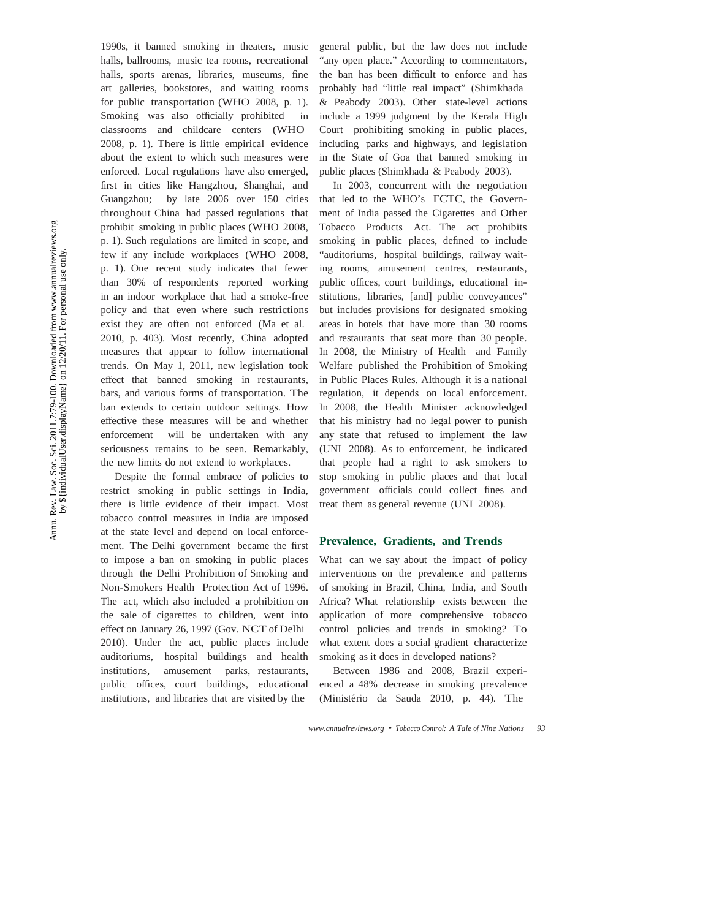1990s, it banned smoking in theaters, music halls, ballrooms, music tea rooms, recreational halls, sports arenas, libraries, museums, fine art galleries, bookstores, and waiting rooms for public transportation (WHO 2008, p. 1). Smoking was also officially prohibited in classrooms and childcare centers (WHO 2008, p. 1). There is little empirical evidence about the extent to which such measures were enforced. Local regulations have also emerged, first in cities like Hangzhou, Shanghai, and Guangzhou; by late 2006 over 150 cities throughout China had passed regulations that prohibit smoking in public places (WHO 2008, p. 1). Such regulations are limited in scope, and few if any include workplaces (WHO 2008, p. 1). One recent study indicates that fewer than 30% of respondents reported working in an indoor workplace that had a smoke-free policy and that even where such restrictions exist they are often not enforced (Ma et al. 2010, p. 403). Most recently, China adopted measures that appear to follow international trends. On May 1, 2011, new legislation took effect that banned smoking in restaurants, bars, and various forms of transportation. The ban extends to certain outdoor settings. How effective these measures will be and whether enforcement will be undertaken with any seriousness remains to be seen. Remarkably, the new limits do not extend to workplaces.

Despite the formal embrace of policies to restrict smoking in public settings in India, there is little evidence of their impact. Most tobacco control measures in India are imposed at the state level and depend on local enforcement. The Delhi government became the first to impose a ban on smoking in public places through the Delhi Prohibition of Smoking and Non-Smokers Health Protection Act of 1996. The act, which also included a prohibition on the sale of cigarettes to children, went into effect on January 26, 1997 (Gov. NCT of Delhi 2010). Under the act, public places include auditoriums, hospital buildings and health institutions, amusement parks, restaurants, public offices, court buildings, educational institutions, and libraries that are visited by the

general public, but the law does not include "any open place." According to commentators, the ban has been difficult to enforce and has probably had "little real impact" (Shimkhada & Peabody 2003). Other state-level actions include a 1999 judgment by the Kerala High Court prohibiting smoking in public places, including parks and highways, and legislation in the State of Goa that banned smoking in public places (Shimkhada & Peabody 2003).

In 2003, concurrent with the negotiation that led to the WHO's FCTC, the Government of India passed the Cigarettes and Other Tobacco Products Act. The act prohibits smoking in public places, defined to include "auditoriums, hospital buildings, railway waiting rooms, amusement centres, restaurants, public offices, court buildings, educational institutions, libraries, [and] public conveyances" but includes provisions for designated smoking areas in hotels that have more than 30 rooms and restaurants that seat more than 30 people. In 2008, the Ministry of Health and Family Welfare published the Prohibition of Smoking in Public Places Rules. Although it is a national regulation, it depends on local enforcement. In 2008, the Health Minister acknowledged that his ministry had no legal power to punish any state that refused to implement the law (UNI 2008). As to enforcement, he indicated that people had a right to ask smokers to stop smoking in public places and that local government officials could collect fines and treat them as general revenue (UNI 2008).

#### **Prevalence, Gradients, and Trends**

What can we say about the impact of policy interventions on the prevalence and patterns of smoking in Brazil, China, India, and South Africa? What relationship exists between the application of more comprehensive tobacco control policies and trends in smoking? To what extent does a social gradient characterize smoking as it does in developed nations?

Between 1986 and 2008, Brazil experienced a 48% decrease in smoking prevalence (Ministério da Sauda 2010, p. 44). The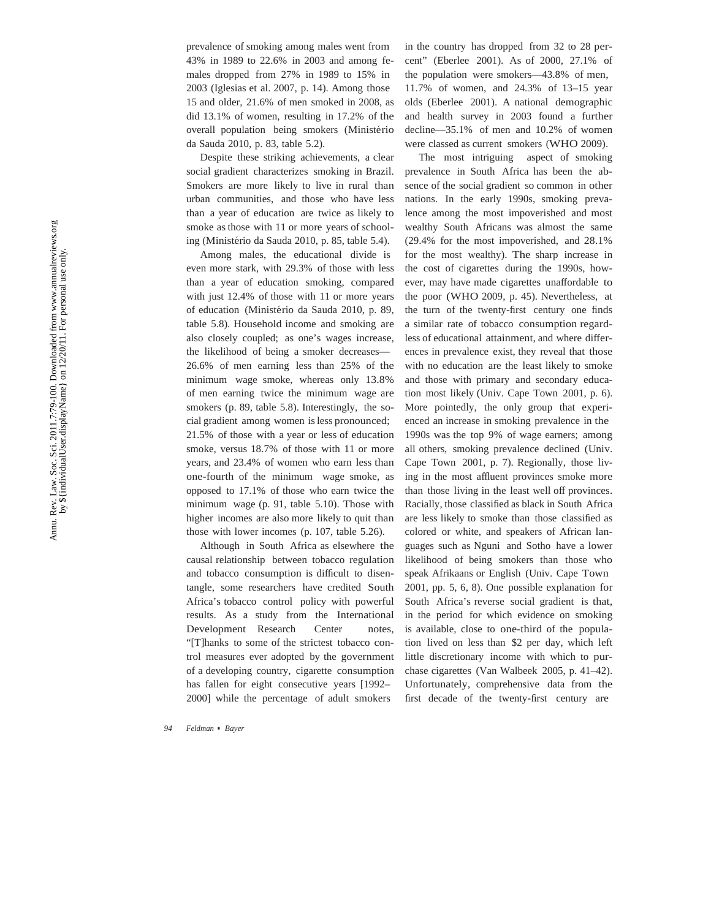prevalence of smoking among males went from 43% in 1989 to 22.6% in 2003 and among females dropped from 27% in 1989 to 15% in 2003 (Iglesias et al. 2007, p. 14). Among those 15 and older, 21.6% of men smoked in 2008, as did 13.1% of women, resulting in 17.2% of the overall population being smokers (Ministério da Sauda 2010, p. 83, table 5.2).

Despite these striking achievements, a clear social gradient characterizes smoking in Brazil. Smokers are more likely to live in rural than urban communities, and those who have less than a year of education are twice as likely to smoke as those with 11 or more years of schooling (Ministério da Sauda 2010, p. 85, table 5.4).

Among males, the educational divide is even more stark, with 29.3% of those with less than a year of education smoking, compared with just 12.4% of those with 11 or more years of education (Ministério da Sauda 2010, p. 89, table 5.8). Household income and smoking are also closely coupled; as one's wages increase, the likelihood of being a smoker decreases— 26.6% of men earning less than 25% of the minimum wage smoke, whereas only 13.8% of men earning twice the minimum wage are smokers (p. 89, table 5.8). Interestingly, the social gradient among women is less pronounced; 21.5% of those with a year or less of education smoke, versus 18.7% of those with 11 or more years, and 23.4% of women who earn less than one-fourth of the minimum wage smoke, as opposed to 17.1% of those who earn twice the minimum wage (p. 91, table 5.10). Those with higher incomes are also more likely to quit than those with lower incomes (p. 107, table 5.26).

Although in South Africa as elsewhere the causal relationship between tobacco regulation and tobacco consumption is difficult to disentangle, some researchers have credited South Africa's tobacco control policy with powerful results. As a study from the International Development Research Center notes, "[T]hanks to some of the strictest tobacco control measures ever adopted by the government of a developing country, cigarette consumption has fallen for eight consecutive years [1992– 2000] while the percentage of adult smokers

in the country has dropped from 32 to 28 percent" (Eberlee 2001). As of 2000, 27.1% of the population were smokers—43.8% of men, 11.7% of women, and 24.3% of 13–15 year olds (Eberlee 2001). A national demographic and health survey in 2003 found a further decline—35.1% of men and 10.2% of women were classed as current smokers (WHO 2009).

The most intriguing aspect of smoking prevalence in South Africa has been the absence of the social gradient so common in other nations. In the early 1990s, smoking prevalence among the most impoverished and most wealthy South Africans was almost the same (29.4% for the most impoverished, and 28.1% for the most wealthy). The sharp increase in the cost of cigarettes during the 1990s, however, may have made cigarettes unaffordable to the poor (WHO 2009, p. 45). Nevertheless, at the turn of the twenty-first century one finds a similar rate of tobacco consumption regardless of educational attainment, and where differences in prevalence exist, they reveal that those with no education are the least likely to smoke and those with primary and secondary education most likely (Univ. Cape Town 2001, p. 6). More pointedly, the only group that experienced an increase in smoking prevalence in the 1990s was the top 9% of wage earners; among all others, smoking prevalence declined (Univ. Cape Town 2001, p. 7). Regionally, those living in the most affluent provinces smoke more than those living in the least well off provinces. Racially, those classi fied as black in South Africa are less likely to smoke than those classi fied as colored or white, and speakers of African languages such as Nguni and Sotho have a lower likelihood of being smokers than those who speak Afrikaans or English (Univ. Cape Town 2001, pp. 5, 6, 8). One possible explanation for South Africa's reverse social gradient is that, in the period for which evidence on smoking is available, close to one-third of the population lived on less than \$2 per day, which left little discretionary income with which to purchase cigarettes (Van Walbeek 2005, p. 41–42). Unfortunately, comprehensive data from the first decade of the twenty-first century are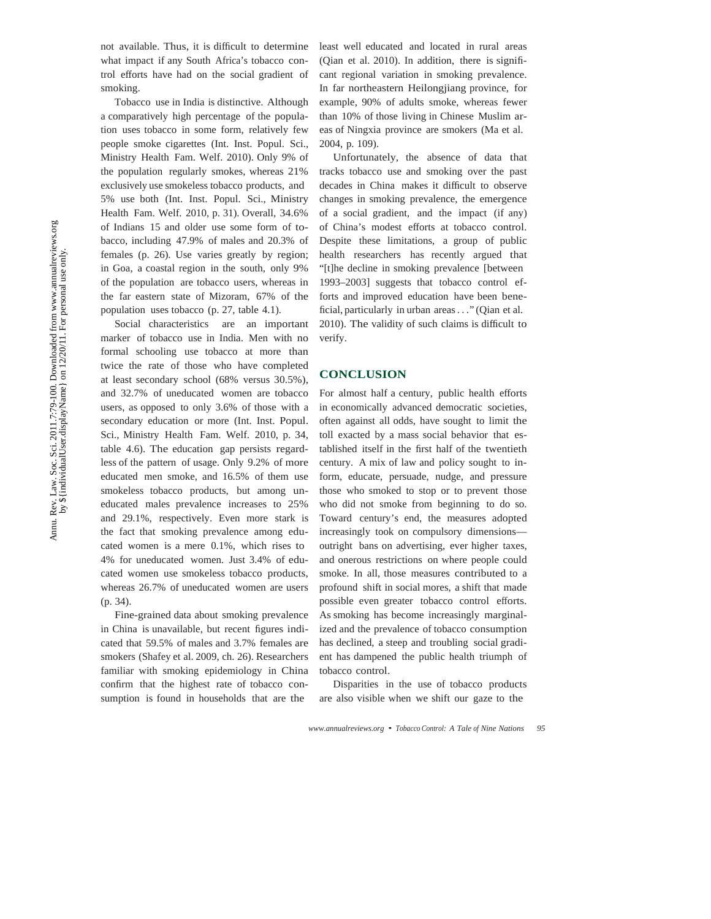not available. Thus, it is difficult to determine what impact if any South Africa's tobacco control efforts have had on the social gradient of smoking.

Tobacco use in India is distinctive. Although a comparatively high percentage of the population uses tobacco in some form, relatively few people smoke cigarettes (Int. Inst. Popul. Sci., Ministry Health Fam. Welf. 2010). Only 9% of the population regularly smokes, whereas 21% exclusively use smokeless tobacco products, and 5% use both (Int. Inst. Popul. Sci., Ministry Health Fam. Welf. 2010, p. 31). Overall, 34.6% of Indians 15 and older use some form of tobacco, including 47.9% of males and 20.3% of females (p. 26). Use varies greatly by region; in Goa, a coastal region in the south, only 9% of the population are tobacco users, whereas in the far eastern state of Mizoram, 67% of the population uses tobacco (p. 27, table 4.1).

Social characteristics are an important marker of tobacco use in India. Men with no formal schooling use tobacco at more than twice the rate of those who have completed at least secondary school (68% versus 30.5%), and 32.7% of uneducated women are tobacco users, as opposed to only 3.6% of those with a secondary education or more (Int. Inst. Popul. Sci., Ministry Health Fam. Welf. 2010, p. 34, table 4.6). The education gap persists regardless of the pattern of usage. Only 9.2% of more educated men smoke, and 16.5% of them use smokeless tobacco products, but among uneducated males prevalence increases to 25% and 29.1%, respectively. Even more stark is the fact that smoking prevalence among educated women is a mere 0.1%, which rises to 4% for uneducated women. Just 3.4% of educated women use smokeless tobacco products, whereas 26.7% of uneducated women are users (p. 34).

Fine-grained data about smoking prevalence in China is unavailable, but recent figures indicated that 59.5% of males and 3.7% females are smokers (Shafey et al. 2009, ch. 26). Researchers familiar with smoking epidemiology in China confirm that the highest rate of tobacco consumption is found in households that are the

least well educated and located in rural areas (Qian et al. 2010). In addition, there is significant regional variation in smoking prevalence. In far northeastern Heilongjiang province, for example, 90% of adults smoke, whereas fewer than 10% of those living in Chinese Muslim areas of Ningxia province are smokers (Ma et al. 2004, p. 109).

Unfortunately, the absence of data that tracks tobacco use and smoking over the past decades in China makes it difficult to observe changes in smoking prevalence, the emergence of a social gradient, and the impact (if any) of China's modest efforts at tobacco control. Despite these limitations, a group of public health researchers has recently argued that "[t]he decline in smoking prevalence [between 1993–2003] suggests that tobacco control efforts and improved education have been beneficial, particularly in urban areas *. . .*" (Qian et al. 2010). The validity of such claims is difficult to verify.

#### **CONCLUSION**

For almost half a century, public health efforts in economically advanced democratic societies, often against all odds, have sought to limit the toll exacted by a mass social behavior that established itself in the first half of the twentieth century. A mix of law and policy sought to inform, educate, persuade, nudge, and pressure those who smoked to stop or to prevent those who did not smoke from beginning to do so. Toward century's end, the measures adopted increasingly took on compulsory dimensions outright bans on advertising, ever higher taxes, and onerous restrictions on where people could smoke. In all, those measures contributed to a profound shift in social mores, a shift that made possible even greater tobacco control efforts. As smoking has become increasingly marginalized and the prevalence of tobacco consumption has declined, a steep and troubling social gradient has dampened the public health triumph of tobacco control.

Disparities in the use of tobacco products are also visible when we shift our gaze to the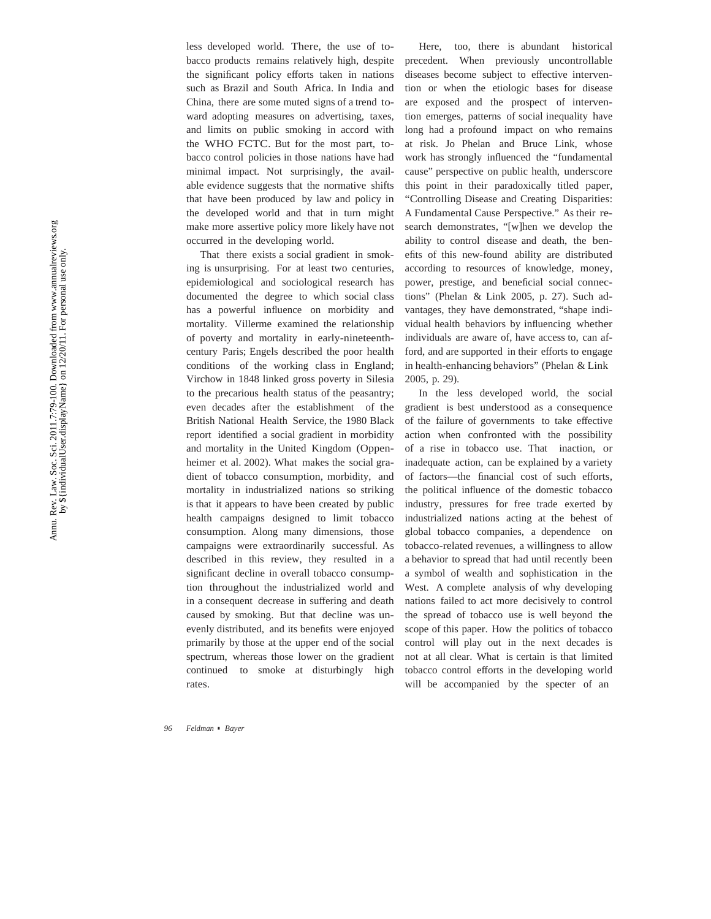less developed world. There, the use of tobacco products remains relatively high, despite the signi ficant policy efforts taken in nations such as Brazil and South Africa. In India and China, there are some muted signs of a trend toward adopting measures on advertising, taxes, and limits on public smoking in accord with the WHO FCTC. But for the most part, tobacco control policies in those nations have had minimal impact. Not surprisingly, the available evidence suggests that the normative shifts that have been produced by law and policy in the developed world and that in turn might make more assertive policy more likely have not occurred in the developing world.

That there exists a social gradient in smoking is unsurprising. For at least two centuries, epidemiological and sociological research has documented the degree to which social class has a powerful in fluence on morbidity and mortality. Villerme examined the relationship of poverty and mortality in early-nineteenthcentury Paris; Engels described the poor health conditions of the working class in England; Virchow in 1848 linked gross poverty in Silesia to the precarious health status of the peasantry; even decades after the establishment of the British National Health Service, the 1980 Black report identi fied a social gradient in morbidity and mortality in the United Kingdom (Oppenheimer et al. 2002). What makes the social gradient of tobacco consumption, morbidity, and mortality in industrialized nations so striking is that it appears to have been created by public health campaigns designed to limit tobacco consumption. Along many dimensions, those campaigns were extraordinarily successful. As described in this review, they resulted in a signi ficant decline in overall tobacco consumption throughout the industrialized world and in a consequent decrease in suffering and death caused by smoking. But that decline was unevenly distributed, and its benefits were enjoyed primarily by those at the upper end of the social spectrum, whereas those lower on the gradient continued to smoke at disturbingly high rates.

Annu. Rev. Law. Soc. Sci. 2011.7:79-100. Downloaded from www.annualreviews.org Rev. Law. Soc. Sci. 2011.7:79-100. Downloaded from www.annualreviews.org<br>by \${individualUser.displayName} on 12/20/11. For personal use only. Amu.

by \${individualUser.displayName} on 12/20/11. For personal use only.

precedent. When previously uncontrollable diseases become subject to effective intervention or when the etiologic bases for disease are exposed and the prospect of intervention emerges, patterns of social inequality have long had a profound impact on who remains at risk. Jo Phelan and Bruce Link, whose work has strongly in fluenced the "fundamental cause" perspective on public health, underscore this point in their paradoxically titled paper, "Controlling Disease and Creating Disparities: A Fundamental Cause Perspective." As their research demonstrates, "[w]hen we develop the ability to control disease and death, the ben- efits of this new-found ability are distributed according to resources of knowledge, money, power, prestige, and bene ficial social connections" (Phelan & Link 2005, p. 27). Such advantages, they have demonstrated, "shape individual health behaviors by influencing whether individuals are aware of, have access to, can afford, and are supported in their efforts to engage in health-enhancing behaviors" (Phelan & Link 2005, p. 29).

Here, too, there is abundant historical

In the less developed world, the social gradient is best understood as a consequence of the failure of governments to take effective action when confronted with the possibility of a rise in tobacco use. That inaction, or inadequate action, can be explained by a variety of factors—the financial cost of such efforts, the political in fluence of the domestic tobacco industry, pressures for free trade exerted by industrialized nations acting at the behest of global tobacco companies, a dependence on tobacco-related revenues, a willingness to allow a behavior to spread that had until recently been a symbol of wealth and sophistication in the West. A complete analysis of why developing nations failed to act more decisively to control the spread of tobacco use is well beyond the scope of this paper. How the politics of tobacco control will play out in the next decades is not at all clear. What is certain is that limited tobacco control efforts in the developing world will be accompanied by the specter of an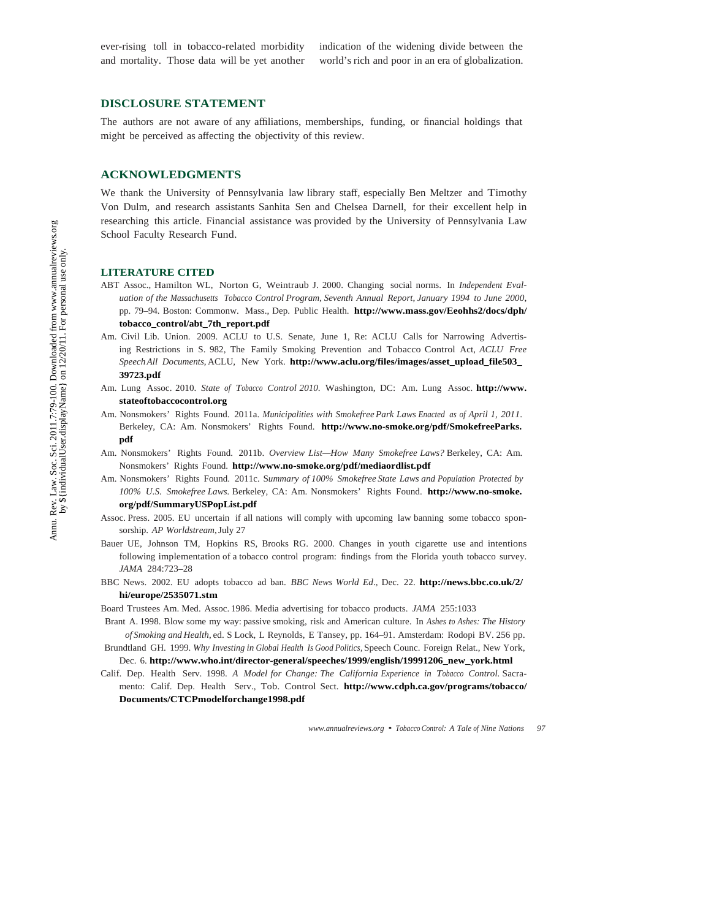ever-rising toll in tobacco-related morbidity and mortality. Those data will be yet another

indication of the widening divide between the world's rich and poor in an era of globalization.

#### **DISCLOSURE STATEMENT**

The authors are not aware of any affiliations, memberships, funding, or financial holdings that might be perceived as affecting the objectivity of this review.

#### **ACKNOWLEDGMENTS**

We thank the University of Pennsylvania law library staff, especially Ben Meltzer and Timothy Von Dulm, and research assistants Sanhita Sen and Chelsea Darnell, for their excellent help in researching this article. Financial assistance was provided by the University of Pennsylvania Law School Faculty Research Fund.

#### **LITERATURE CITED**

- ABT Assoc., Hamilton WL, Norton G, Weintraub J. 2000. Changing social norms. In *Independent Evaluation of the Massachusetts Tobacco Control Program, Seventh Annual Report, January 1994 to June 2000*, pp. 79–94. Boston: Commonw. Mass., Dep. Public Health. **http://www.mass.gov/Eeohhs2/docs/dph/ tobacco\_control/abt\_7th\_report.pdf**
- Am. Civil Lib. Union. 2009. ACLU to U.S. Senate, June 1, Re: ACLU Calls for Narrowing Advertising Restrictions in S. 982, The Family Smoking Prevention and Tobacco Control Act, *ACLU Free Speech All Documents*, ACLU, New York. **http://www.aclu.org/files/images/asset\_upload\_file503\_ 39723.pdf**
- Am. Lung Assoc. 2010. *State of Tobacco Control 2010*. Washington, DC: Am. Lung Assoc. **http://www. stateoftobaccocontrol.org**
- Am. Nonsmokers' Rights Found. 2011a. *Municipalities with Smokefree Park Laws Enacted as of April 1, 2011*. Berkeley, CA: Am. Nonsmokers' Rights Found. **http://www.no-smoke.org/pdf/SmokefreeParks. pdf**
- Am. Nonsmokers' Rights Found. 2011b. *Overview List—How Many Smokefree Laws?* Berkeley, CA: Am. Nonsmokers' Rights Found. **http://www.no-smoke.org/pdf/mediaordlist.pdf**
- Am. Nonsmokers' Rights Found. 2011c. S*ummary of 100% Smokefree State Laws and Population Protected by 100% U.S. Smokefree Laws.* Berkeley, CA: Am. Nonsmokers' Rights Found. **http://www.no-smoke. org/pdf/SummaryUSPopList.pdf**
- Assoc. Press. 2005. EU uncertain if all nations will comply with upcoming law banning some tobacco sponsorship. *AP Worldstream*, July 27
- Bauer UE, Johnson TM, Hopkins RS, Brooks RG. 2000. Changes in youth cigarette use and intentions following implementation of a tobacco control program: findings from the Florida youth tobacco survey. *JAMA* 284:723–28
- BBC News. 2002. EU adopts tobacco ad ban. *BBC News World Ed*., Dec. 22. **http://news.bbc.co.uk/2/ hi/europe/2535071.stm**
- Board Trustees Am. Med. Assoc. 1986. Media advertising for tobacco products. *JAMA* 255:1033
- Brant A. 1998. Blow some my way: passive smoking, risk and American culture. In *Ashes to Ashes: The History of Smoking and Health*, ed. S Lock, L Reynolds, E Tansey, pp. 164–91. Amsterdam: Rodopi BV. 256 pp.
- Brundtland GH. 1999. *Why Investing in Global Health Is Good Politics*, Speech Counc. Foreign Relat., New York, Dec. 6. **http://www.who.int/director-general/speeches/1999/english/19991206\_new\_york.html**
- Calif. Dep. Health Serv. 1998. *A Model for Change: The California Experience in Tobacco Control.* Sacramento: Calif. Dep. Health Serv., Tob. Control Sect. **http://www.cdph.ca.gov/programs/tobacco/ Documents/CTCPmodelforchange1998.pdf**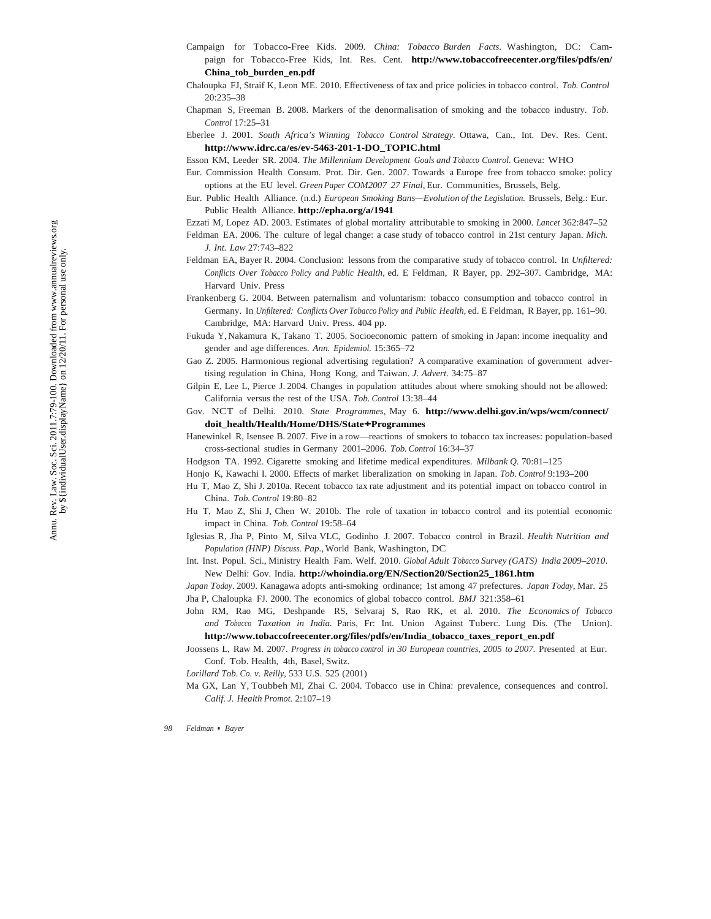- Campaign for Tobacco-Free Kids. 2009. *China: Tobacco Burden Facts*. Washington, DC: Campaign for Tobacco-Free Kids, Int. Res. Cent. **http://www.tobaccofreecenter.org/files/pdfs/en/ China\_tob\_burden\_en.pdf**
- Chaloupka FJ, Straif K, Leon ME. 2010. Effectiveness of tax and price policies in tobacco control. *Tob. Control* 20:235–38
- Chapman S, Freeman B. 2008. Markers of the denormalisation of smoking and the tobacco industry. *Tob. Control* 17:25–31
- Eberlee J. 2001. *South Africa's Winning Tobacco Control Strategy.* Ottawa, Can., Int. Dev. Res. Cent. **http://www.idrc.ca/es/ev-5463-201-1-DO\_TOPIC.html**

Esson KM, Leeder SR. 2004. *The Millennium Development Goals and Tobacco Control.* Geneva: WHO

- Eur. Commission Health Consum. Prot. Dir. Gen. 2007. Towards a Europe free from tobacco smoke: policy options at the EU level. *Green Paper COM2007 27 Final*, Eur. Communities, Brussels, Belg.
- Eur. Public Health Alliance. (n.d.) *European Smoking Bans—Evolution of the Legislation.* Brussels, Belg.: Eur. Public Health Alliance. **http://epha.org/a/1941**
- Ezzati M, Lopez AD. 2003. Estimates of global mortality attributable to smoking in 2000. *Lancet* 362:847–52
- Feldman EA. 2006. The culture of legal change: a case study of tobacco control in 21st century Japan. *Mich. J. Int. Law* 27:743–822
- Feldman EA, Bayer R. 2004. Conclusion: lessons from the comparative study of tobacco control. In *Unfiltered: Conflicts Over Tobacco Policy and Public Health*, ed. E Feldman, R Bayer, pp. 292–307. Cambridge, MA: Harvard Univ. Press
- Frankenberg G. 2004. Between paternalism and voluntarism: tobacco consumption and tobacco control in Germany. In *Unfiltered: Conflicts Over Tobacco Policy and Public Health*, ed. E Feldman, R Bayer, pp. 161–90. Cambridge, MA: Harvard Univ. Press. 404 pp.
- Fukuda Y, Nakamura K, Takano T. 2005. Socioeconomic pattern of smoking in Japan: income inequality and gender and age differences. *Ann. Epidemiol.* 15:365–72
- Gao Z. 2005. Harmonious regional advertising regulation? A comparative examination of government advertising regulation in China, Hong Kong, and Taiwan. *J. Advert.* 34:75–87
- Gilpin E, Lee L, Pierce J. 2004. Changes in population attitudes about where smoking should not be allowed: California versus the rest of the USA. *Tob. Control* 13:38–44
- Gov. NCT of Delhi. 2010. *State Programmes*, May 6. **http://www.delhi.gov.in/wps/wcm/connect/ doit\_health/Health/Home/DHS/State+Programmes**
- Hanewinkel R, Isensee B. 2007. Five in a row—reactions of smokers to tobacco tax increases: population-based cross-sectional studies in Germany 2001–2006. *Tob. Control* 16:34–37
- Hodgson TA. 1992. Cigarette smoking and lifetime medical expenditures. *Milbank Q.* 70:81–125
- Honjo K, Kawachi I. 2000. Effects of market liberalization on smoking in Japan. *Tob. Control* 9:193–200
- Hu T, Mao Z, Shi J. 2010a. Recent tobacco tax rate adjustment and its potential impact on tobacco control in China. *Tob. Control* 19:80–82
- Hu T, Mao Z, Shi J, Chen W. 2010b. The role of taxation in tobacco control and its potential economic impact in China. *Tob. Control* 19:58–64
- Iglesias R, Jha P, Pinto M, Silva VLC, Godinho J. 2007. Tobacco control in Brazil. *Health Nutrition and Population (HNP) Discuss. Pap.*, World Bank, Washington, DC
- Int. Inst. Popul. Sci., Ministry Health Fam. Welf. 2010. *Global Adult Tobacco Survey (GATS) India 2009–2010*. New Delhi: Gov. India. **http://whoindia.org/EN/Section20/Section25\_1861.htm**
- *Japan Today*. 2009. Kanagawa adopts anti-smoking ordinance; 1st among 47 prefectures. *Japan Today*, Mar. 25 Jha P, Chaloupka FJ. 2000. The economics of global tobacco control. *BMJ* 321:358–61
- John RM, Rao MG, Deshpande RS, Selvaraj S, Rao RK, et al. 2010. *The Economics of Tobacco and Tobacco Taxation in India.* Paris, Fr: Int. Union Against Tuberc. Lung Dis. (The Union). **http://www.tobaccofreecenter.org/files/pdfs/en/India\_tobacco\_taxes\_report\_en.pdf**
- Joossens L, Raw M. 2007. *Progress in tobacco control in 30 European countries, 2005 to 2007*. Presented at Eur. Conf. Tob. Health, 4th, Basel, Switz.
- *Lorillard Tob. Co. v. Reilly*, 533 U.S. 525 (2001)
- Ma GX, Lan Y, Toubbeh MI, Zhai C. 2004. Tobacco use in China: prevalence, consequences and control. *Calif. J. Health Promot.* 2:107–19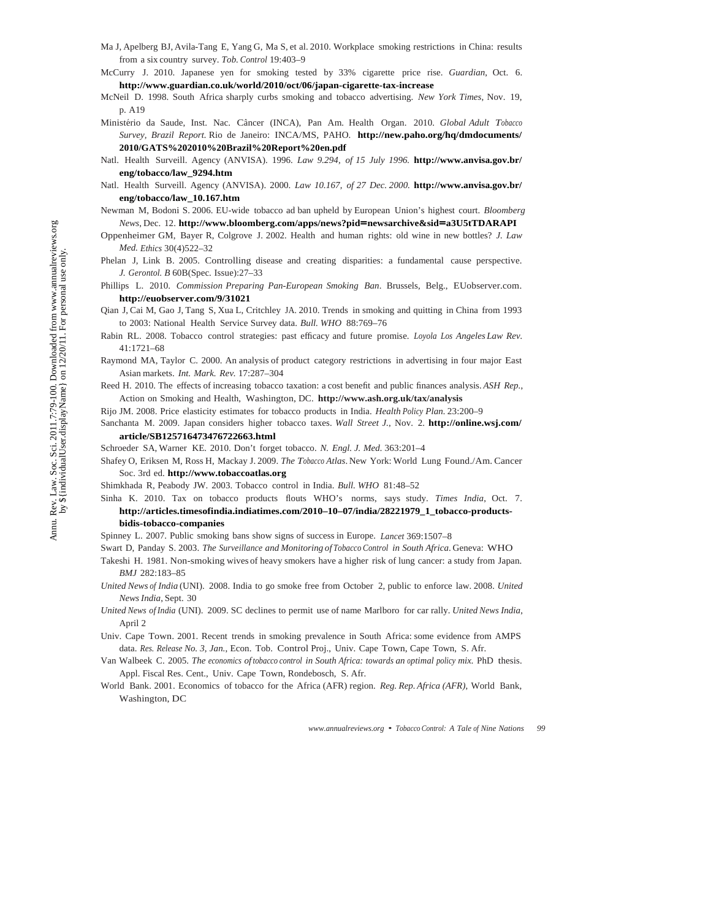- Ma J, Apelberg BJ, Avila-Tang E, Yang G, Ma S, et al. 2010. Workplace smoking restrictions in China: results from a six country survey. *Tob. Control* 19:403–9
- McCurry J. 2010. Japanese yen for smoking tested by 33% cigarette price rise. *Guardian*, Oct. 6. **http://www.guardian.co.uk/world/2010/oct/06/japan-cigarette-tax-increase**
- McNeil D. 1998. South Africa sharply curbs smoking and tobacco advertising. *New York Times*, Nov. 19, p. A19
- Ministério da Saude, Inst. Nac. Câncer (INCA), Pan Am. Health Organ. 2010. *Global Adult Tobacco Survey, Brazil Report.* Rio de Janeiro: INCA/MS, PAHO. **http://new.paho.org/hq/dmdocuments/ 2010/GATS%202010%20Brazil%20Report%20en.pdf**
- Natl. Health Surveill. Agency (ANVISA). 1996. *Law 9.294, of 15 July 1996.* **http://www.anvisa.gov.br/ eng/tobacco/law\_9294.htm**
- Natl. Health Surveill. Agency (ANVISA). 2000. *Law 10.167, of 27 Dec. 2000.* **http://www.anvisa.gov.br/ eng/tobacco/law\_10.167.htm**
- Newman M, Bodoni S. 2006. EU-wide tobacco ad ban upheld by European Union's highest court. *Bloomberg News*, Dec. 12. **http://www.bloomberg.com/apps/news?pid=newsarchive&sid=a3U5tTDARAPI**
- Oppenheimer GM, Bayer R, Colgrove J. 2002. Health and human rights: old wine in new bottles? *J. Law Med. Ethics* 30(4)522–32
- Phelan J, Link B. 2005. Controlling disease and creating disparities: a fundamental cause perspective. *J. Gerontol. B* 60B(Spec. Issue):27–33
- Phillips L. 2010. *Commission Preparing Pan-European Smoking Ban*. Brussels, Belg., EUobserver.com. **http://euobserver.com/9/31021**
- Qian J, Cai M, Gao J, Tang S, Xua L, Critchley JA. 2010. Trends in smoking and quitting in China from 1993 to 2003: National Health Service Survey data. *Bull. WHO* 88:769–76
- Rabin RL. 2008. Tobacco control strategies: past efficacy and future promise. *Loyola Los Angeles Law Rev.* 41:1721–68
- Raymond MA, Taylor C. 2000. An analysis of product category restrictions in advertising in four major East Asian markets. *Int. Mark. Rev.* 17:287–304
- Reed H. 2010. The effects of increasing tobacco taxation: a cost benefit and public finances analysis. *ASH Rep.*, Action on Smoking and Health, Washington, DC. **http://www.ash.org.uk/tax/analysis**
- Rijo JM. 2008. Price elasticity estimates for tobacco products in India. *Health Policy Plan.* 23:200–9
- Sanchanta M. 2009. Japan considers higher tobacco taxes. *Wall Street J.*, Nov. 2. **http://online.wsj.com/ article/SB125716473476722663.html**
- Schroeder SA, Warner KE. 2010. Don't forget tobacco. *N. Engl. J. Med.* 363:201–4
- Shafey O, Eriksen M, Ross H, Mackay J. 2009. *The Tobacco Atlas*. New York: World Lung Found./Am. Cancer Soc. 3rd ed. **http://www.tobaccoatlas.org**
- Shimkhada R, Peabody JW. 2003. Tobacco control in India. *Bull. WHO* 81:48–52
- Sinha K. 2010. Tax on tobacco products flouts WHO's norms, says study. *Times India*, Oct. 7.

#### **http://articles.timesofindia.indiatimes.com/2010–10–07/india/28221979\_1\_tobacco-productsbidis-tobacco-companies**

Spinney L. 2007. Public smoking bans show signs of success in Europe. *Lancet* 369:1507–8

- Swart D, Panday S. 2003. *The Surveillance and Monitoring of Tobacco Control in South Africa*. Geneva: WHO
- Takeshi H. 1981. Non-smoking wives of heavy smokers have a higher risk of lung cancer: a study from Japan. *BMJ* 282:183–85
- *United News of India* (UNI). 2008. India to go smoke free from October 2, public to enforce law. 2008. *United News India*, Sept. 30
- *United News of India* (UNI). 2009. SC declines to permit use of name Marlboro for car rally. *United News India*, April 2
- Univ. Cape Town. 2001. Recent trends in smoking prevalence in South Africa: some evidence from AMPS data. *Res. Release No. 3*, *Jan.*, Econ. Tob. Control Proj., Univ. Cape Town, Cape Town, S. Afr.
- Van Walbeek C. 2005. *The economics of tobacco control in South Africa: towards an optimal policy mix.* PhD thesis. Appl. Fiscal Res. Cent., Univ. Cape Town, Rondebosch, S. Afr.
- World Bank. 2001. Economics of tobacco for the Africa (AFR) region. *Reg. Rep. Africa (AFR)*, World Bank, Washington, DC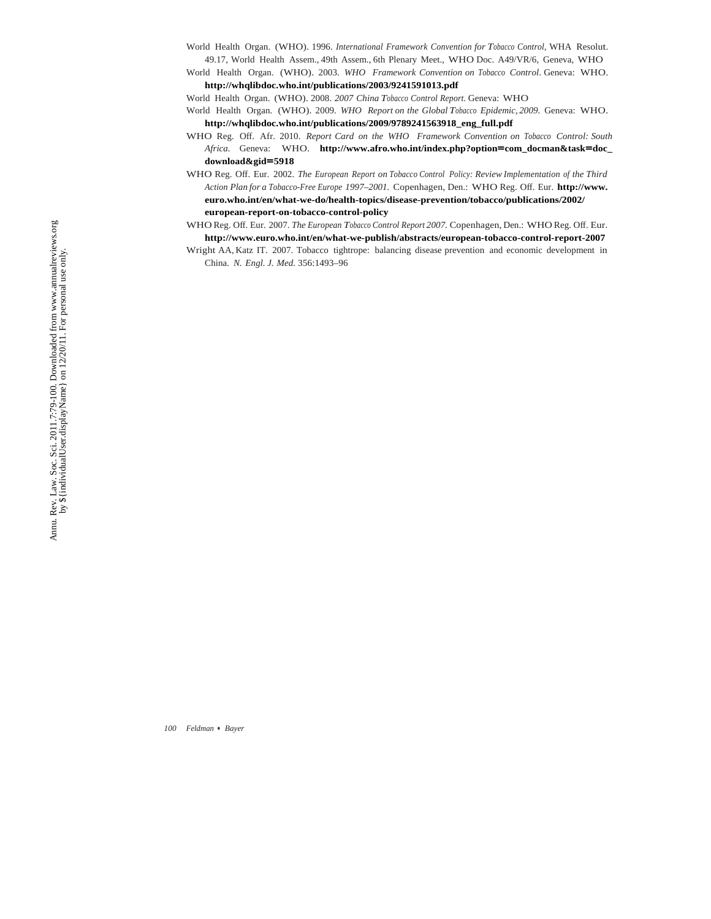- World Health Organ. (WHO). 1996. *International Framework Convention for Tobacco Control*, WHA Resolut. 49.17, World Health Assem., 49th Assem., 6th Plenary Meet., WHO Doc. A49/VR/6, Geneva, WHO
- World Health Organ. (WHO). 2003. *WHO Framework Convention on Tobacco Control*. Geneva: WHO. **http://whqlibdoc.who.int/publications/2003/9241591013.pdf**

World Health Organ. (WHO). 2008. *2007 China Tobacco Control Report.* Geneva: WHO

- World Health Organ. (WHO). 2009. *WHO Report on the Global Tobacco Epidemic, 2009.* Geneva: WHO. **http://whqlibdoc.who.int/publications/2009/9789241563918\_eng\_full.pdf**
- WHO Reg. Off. Afr. 2010. *Report Card on the WHO Framework Convention on Tobacco Control: South Africa.* Geneva: WHO. **http://www.afro.who.int/index.php?option=com\_docman&task=doc\_ download&gid=5918**
- WHO Reg. Off. Eur. 2002. *The European Report on Tobacco Control Policy: Review Implementation of the Third Action Plan for a Tobacco-Free Europe 1997–2001.* Copenhagen, Den.: WHO Reg. Off. Eur. **http://www. euro.who.int/en/what-we-do/health-topics/disease-prevention/tobacco/publications/2002/ european-report-on-tobacco-control-policy**
- WHO Reg. Off. Eur. 2007. *The European Tobacco Control Report 2007.* Copenhagen, Den.: WHO Reg. Off. Eur. **http://www.euro.who.int/en/what-we-publish/abstracts/european-tobacco-control-report-2007**
- Wright AA, Katz IT. 2007. Tobacco tightrope: balancing disease prevention and economic development in China. *N. Engl. J. Med.* 356:1493–96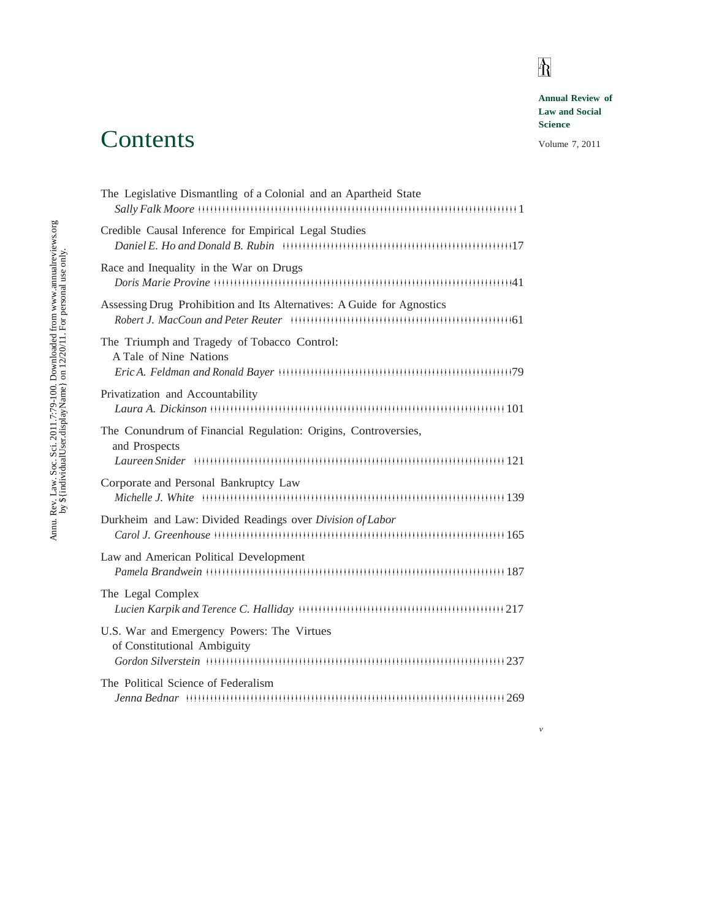# $\mathbb{A}$

*v*

**Annual Review of Law and Social Science**

#### Volume 7, 2011

## The Legislative Dismantling of a Colonial and an Apartheid State *Sally Falk Moore* **♣♣♣♣♣♣♣♣♣♣♣♣♣♣♣♣♣♣♣♣♣♣♣♣♣♣♣♣♣♣♣♣♣♣♣♣♣♣♣♣♣♣♣♣♣♣♣♣♣♣♣♣♣♣♣♣♣♣♣♣♣♣♣ ♣♣♣♣♣♣♣♣♣♣♣♣♣♣♣♣** 1 Credible Causal Inference for Empirical Legal Studies *Daniel E. Ho and Donald B. Rubin* **♣♣♣♣♣♣♣♣♣♣♣♣♣♣♣♣♣♣♣♣♣♣♣♣♣♣♣♣♣♣♣♣♣♣♣♣♣♣♣♣♣♣♣♣♣♣♣♣♣♣♣♣♣♣♣♣ ♣** 17 Race and Inequality in the War on Drugs *Doris Marie Provine* **♣♣♣♣♣♣♣♣♣♣♣♣♣♣♣♣♣♣♣♣♣♣♣♣♣♣♣♣♣♣♣♣♣♣♣♣♣♣♣♣♣♣♣♣♣♣♣♣♣♣♣♣♣♣♣♣♣♣♣♣♣♣♣ ♣♣♣♣♣♣♣♣♣♣ ♣** 41 Assessing Drug Prohibition and Its Alternatives: A Guide for Agnostics *Robert J. MacCoun and Peter Reuter* **♣♣♣♣♣♣♣♣♣♣♣♣♣♣♣♣♣♣♣♣♣♣♣♣♣♣♣♣♣♣♣♣♣♣♣♣♣♣♣♣♣♣♣♣♣♣♣♣♣♣♣♣♣♣ ♣** 61 The Triumph and Tragedy of Tobacco Control: A Tale of Nine Nations *Eric A. Feldman and Ronald Bayer* **♣♣♣♣♣♣♣♣♣♣♣♣♣♣♣♣♣♣♣♣♣♣♣♣♣♣♣♣♣♣♣♣♣♣♣♣♣♣♣♣♣♣♣♣♣♣♣♣♣♣♣♣♣♣♣♣♣ ♣** 79 Privatization and Accountability *Laura A. Dickinson* **♣♣♣♣♣♣♣♣♣♣♣♣♣♣♣♣♣♣♣♣♣♣♣♣♣♣♣♣♣♣♣♣♣♣♣♣♣♣♣♣♣♣♣♣♣♣♣♣♣♣♣♣♣♣♣♣♣♣♣♣♣♣♣ ♣♣♣♣♣♣♣♣♣♣** 101 The Conundrum of Financial Regulation: Origins, Controversies, and Prospects *Laureen Snider* **♣♣♣♣♣♣♣♣♣♣♣♣♣♣♣♣♣♣♣♣♣♣♣♣♣♣♣♣♣♣♣♣♣♣♣♣♣♣♣♣♣♣♣♣♣♣♣♣♣♣♣♣♣♣♣♣♣♣♣♣♣♣♣ ♣♣♣♣♣♣♣♣♣♣♣♣♣♣** 121 Corporate and Personal Bankruptcy Law *Michelle J. White* **♣♣♣♣♣♣♣♣♣♣♣♣♣♣♣♣♣♣♣♣♣♣♣♣♣♣♣♣♣♣♣♣♣♣♣♣♣♣♣♣♣♣♣♣♣♣♣♣♣♣♣♣♣♣♣♣♣♣♣♣♣♣♣ ♣♣♣♣♣♣♣♣♣♣♣♣** 139 Durkheim and Law: Divided Readings over *Division of Labor Carol J. Greenhouse* **♣♣♣♣♣♣♣♣♣♣♣♣♣♣♣♣♣♣♣♣♣♣♣♣♣♣♣♣♣♣♣♣♣♣♣♣♣♣♣♣♣♣♣♣♣♣♣♣♣♣♣♣♣♣♣♣♣♣♣♣♣♣♣ ♣♣♣♣♣♣♣♣♣** 165 Law and American Political Development *Pamela Brandwein* **♣♣♣♣♣♣♣♣♣♣♣♣♣♣♣♣♣♣♣♣♣♣♣♣♣♣♣♣♣♣♣♣♣♣♣♣♣♣♣♣♣♣♣♣♣♣♣♣♣♣♣♣♣♣♣♣♣♣♣♣♣♣♣ ♣♣♣♣♣♣♣♣♣♣♣** 187 The Legal Complex Lucien Karpik and Terence C. Halliday **HIMMON COMETABLE 312** 217 U.S. War and Emergency Powers: The Virtues of Constitutional Ambiguity *Gordon Silverstein* **♣♣♣♣♣♣♣♣♣♣♣♣♣♣♣♣♣♣♣♣♣♣♣♣♣♣♣♣♣♣♣♣♣♣♣♣♣♣♣♣♣♣♣♣♣♣♣♣♣♣♣♣♣♣♣♣♣♣♣♣♣♣♣ ♣♣♣♣♣♣♣♣♣♣♣** 237 The Political Science of Federalism *Jenna Bednar* **♣♣♣♣♣♣♣♣♣♣♣♣♣♣♣♣♣♣♣♣♣♣♣♣♣♣♣♣♣♣♣♣♣♣♣♣♣♣♣♣♣♣♣♣♣♣♣♣♣♣♣♣♣♣♣♣♣♣♣♣♣♣♣ ♣♣♣♣♣♣♣♣♣♣♣♣♣♣♣♣** 269

**Contents**